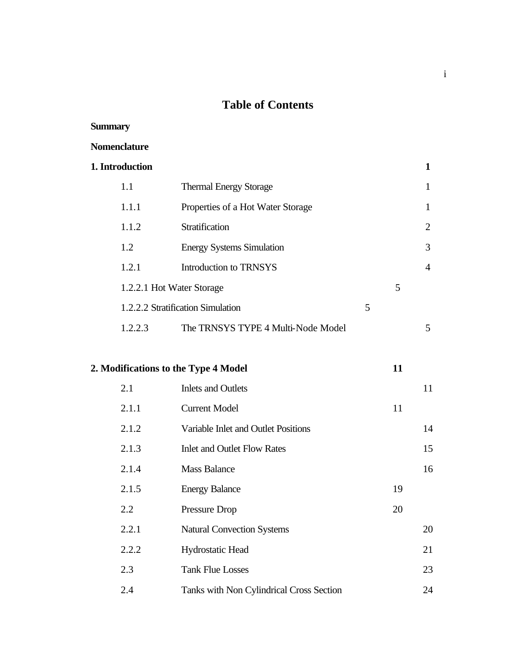# **Table of Contents**

# **Summary**

# **Nomenclature**

# **1. Introduction 1**

| 1.1                               | <b>Thermal Energy Storage</b>      |   |   |                |
|-----------------------------------|------------------------------------|---|---|----------------|
| 1.1.1                             | Properties of a Hot Water Storage  |   |   |                |
| 1.1.2                             | Stratification                     |   |   | $\overline{2}$ |
| 1.2                               | <b>Energy Systems Simulation</b>   |   |   | 3              |
| 1.2.1                             | <b>Introduction to TRNSYS</b>      |   |   | 4              |
| 1.2.2.1 Hot Water Storage         |                                    |   | 5 |                |
| 1.2.2.2 Stratification Simulation |                                    | 5 |   |                |
| 1.2.2.3                           | The TRNSYS TYPE 4 Multi-Node Model |   |   |                |

# **2. Modifications to the Type 4 Model 11**

| 2.1   | <b>Inlets and Outlets</b>                |    | 11 |
|-------|------------------------------------------|----|----|
| 2.1.1 | <b>Current Model</b>                     | 11 |    |
| 2.1.2 | Variable Inlet and Outlet Positions      |    | 14 |
| 2.1.3 | <b>Inlet and Outlet Flow Rates</b>       |    | 15 |
| 2.1.4 | <b>Mass Balance</b>                      |    | 16 |
| 2.1.5 | <b>Energy Balance</b>                    | 19 |    |
| 2.2   | Pressure Drop                            | 20 |    |
| 2.2.1 | <b>Natural Convection Systems</b>        |    | 20 |
| 2.2.2 | Hydrostatic Head                         |    | 21 |
| 2.3   | <b>Tank Flue Losses</b>                  |    | 23 |
| 2.4   | Tanks with Non Cylindrical Cross Section |    | 24 |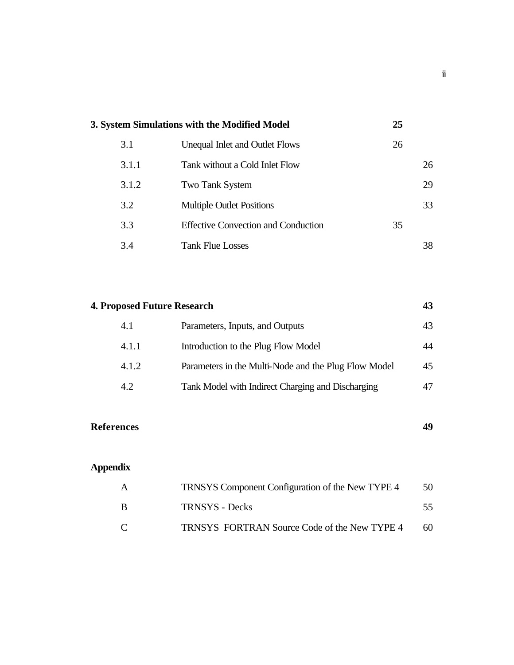| 25<br>3. System Simulations with the Modified Model |                                            |    |    |
|-----------------------------------------------------|--------------------------------------------|----|----|
| 3.1                                                 | <b>Unequal Inlet and Outlet Flows</b>      | 26 |    |
| 3.1.1                                               | Tank without a Cold Inlet Flow             |    | 26 |
| 3.1.2                                               | <b>Two Tank System</b>                     |    | 29 |
| 3.2                                                 | <b>Multiple Outlet Positions</b>           |    | 33 |
| 3.3                                                 | <b>Effective Convection and Conduction</b> | 35 |    |
| 3.4                                                 | <b>Tank Flue Losses</b>                    |    | 38 |

| 4. Proposed Future Research |       |                                                      |    |
|-----------------------------|-------|------------------------------------------------------|----|
|                             | 4.1   | Parameters, Inputs, and Outputs                      | 43 |
|                             | 4.1.1 | Introduction to the Plug Flow Model                  | 44 |
|                             | 4.1.2 | Parameters in the Multi-Node and the Plug Flow Model | 45 |
|                             | 4.2   | Tank Model with Indirect Charging and Discharging    | 47 |
|                             |       |                                                      |    |

# **References 49**

# **Appendix**

| A | TRNSYS Component Configuration of the New TYPE 4 | 50  |
|---|--------------------------------------------------|-----|
| B | <b>TRNSYS</b> - Decks                            | 55. |
| C | TRNSYS FORTRAN Source Code of the New TYPE 4     | 60. |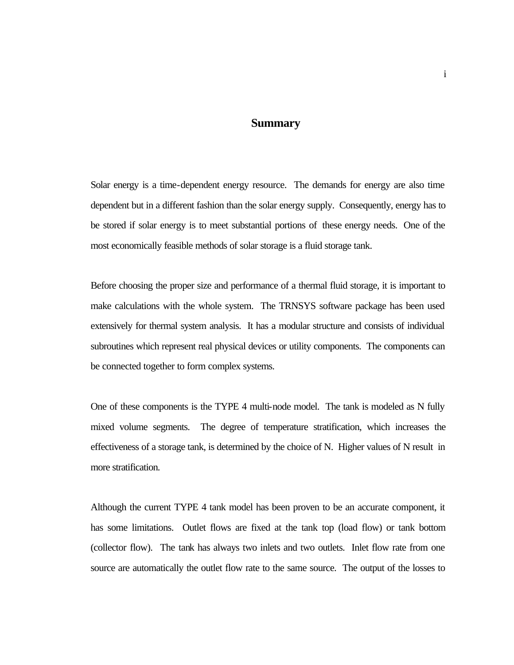## **Summary**

Solar energy is a time-dependent energy resource. The demands for energy are also time dependent but in a different fashion than the solar energy supply. Consequently, energy has to be stored if solar energy is to meet substantial portions of these energy needs. One of the most economically feasible methods of solar storage is a fluid storage tank.

Before choosing the proper size and performance of a thermal fluid storage, it is important to make calculations with the whole system. The TRNSYS software package has been used extensively for thermal system analysis. It has a modular structure and consists of individual subroutines which represent real physical devices or utility components. The components can be connected together to form complex systems.

One of these components is the TYPE 4 multi-node model. The tank is modeled as N fully mixed volume segments. The degree of temperature stratification, which increases the effectiveness of a storage tank, is determined by the choice of N. Higher values of N result in more stratification.

Although the current TYPE 4 tank model has been proven to be an accurate component, it has some limitations. Outlet flows are fixed at the tank top (load flow) or tank bottom (collector flow). The tank has always two inlets and two outlets. Inlet flow rate from one source are automatically the outlet flow rate to the same source. The output of the losses to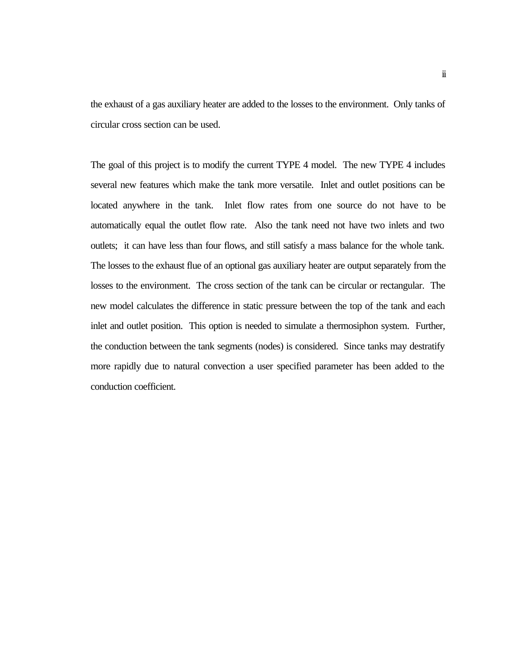the exhaust of a gas auxiliary heater are added to the losses to the environment. Only tanks of circular cross section can be used.

The goal of this project is to modify the current TYPE 4 model. The new TYPE 4 includes several new features which make the tank more versatile. Inlet and outlet positions can be located anywhere in the tank. Inlet flow rates from one source do not have to be automatically equal the outlet flow rate. Also the tank need not have two inlets and two outlets; it can have less than four flows, and still satisfy a mass balance for the whole tank. The losses to the exhaust flue of an optional gas auxiliary heater are output separately from the losses to the environment. The cross section of the tank can be circular or rectangular. The new model calculates the difference in static pressure between the top of the tank and each inlet and outlet position. This option is needed to simulate a thermosiphon system. Further, the conduction between the tank segments (nodes) is considered. Since tanks may destratify more rapidly due to natural convection a user specified parameter has been added to the conduction coefficient.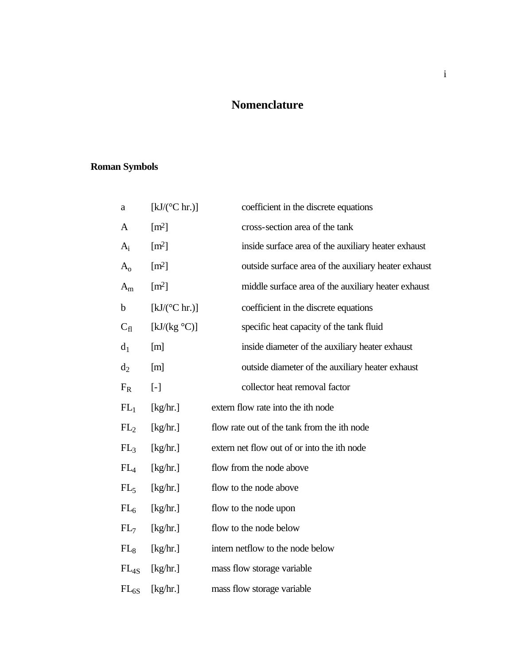# **Nomenclature**

# **Roman Symbols**

| $\rm{a}$        | $[kJ/(^{\circ}C \ hr.)]$ | coefficient in the discrete equations                |
|-----------------|--------------------------|------------------------------------------------------|
| A               | $\lceil m^2 \rceil$      | cross-section area of the tank                       |
| $A_i$           | [m <sup>2</sup> ]        | inside surface area of the auxiliary heater exhaust  |
| $A_0$           | [m <sup>2</sup> ]        | outside surface area of the auxiliary heater exhaust |
| $A_{m}$         | $\lceil m^2 \rceil$      | middle surface area of the auxiliary heater exhaust  |
| $\mathbf b$     | $[kJ/(^{\circ}C \ hr.)]$ | coefficient in the discrete equations                |
| $C_{fl}$        | [kJ/(kg °C)]             | specific heat capacity of the tank fluid             |
| d <sub>1</sub>  | [m]                      | inside diameter of the auxiliary heater exhaust      |
| $d_2$           | [m]                      | outside diameter of the auxiliary heater exhaust     |
| $F_R$           | $\left[ -\right]$        | collector heat removal factor                        |
| $FL_1$          | [kg/hr.]                 | extern flow rate into the ith node                   |
| FL <sub>2</sub> | [kg/hr.]                 | flow rate out of the tank from the ith node          |
| FL <sub>3</sub> | [kg/hr.]                 | extern net flow out of or into the ith node          |
| $FL_4$          | [kg/hr.]                 | flow from the node above                             |
| FL <sub>5</sub> | [kg/hr.]                 | flow to the node above                               |
| $FL_{6}$        | [kg/hr.]                 | flow to the node upon                                |
| FL <sub>7</sub> | [kg/hr.]                 | flow to the node below                               |
| $FL_{8}$        | [kg/hr.]                 | intern netflow to the node below                     |
| $FL_{4S}$       | [kg/hr.]                 | mass flow storage variable                           |
| $FL_{6S}$       | [kg/hr.]                 | mass flow storage variable                           |
|                 |                          |                                                      |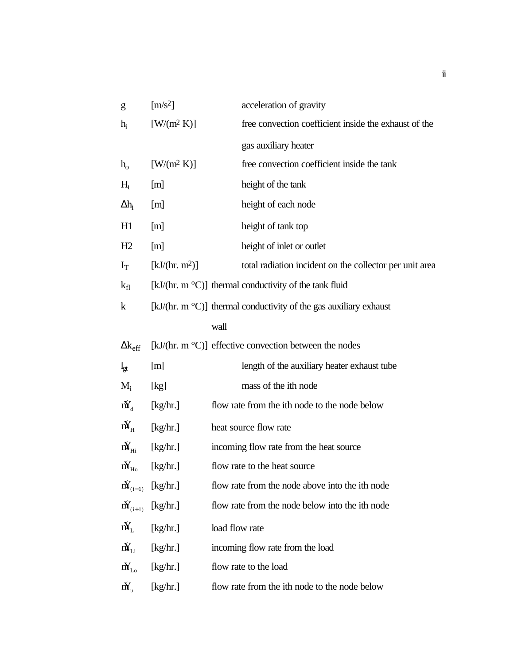| g                                            | $[m/s^2]$                         | acceleration of gravity                                                               |
|----------------------------------------------|-----------------------------------|---------------------------------------------------------------------------------------|
| $h_i$                                        | $[ W/(m^2 K) ]$                   | free convection coefficient inside the exhaust of the                                 |
|                                              |                                   | gas auxiliary heater                                                                  |
| $h_{o}$                                      | $[W/(m^2 K)]$                     | free convection coefficient inside the tank                                           |
| $H_t$                                        | [m]                               | height of the tank                                                                    |
| $\Delta h_i$                                 | [m]                               | height of each node                                                                   |
| H1                                           | [m]                               | height of tank top                                                                    |
| H2                                           | [m]                               | height of inlet or outlet                                                             |
| $I_T$                                        | [kJ/hr. m <sup>2</sup> ]          | total radiation incident on the collector per unit area                               |
| $k_{\rm fl}$                                 |                                   | [kJ/(hr. m $^{\circ}$ C)] thermal conductivity of the tank fluid                      |
| $\bf k$                                      |                                   | [ $kJ/(hr. m^{\circ}C)$ ] thermal conductivity of the gas auxiliary exhaust           |
|                                              |                                   | wall                                                                                  |
| $\Delta k_{eff}$                             |                                   | [ $\text{kJ}/\text{(hr. m}^{\circ}\text{C})$ ] effective convection between the nodes |
| $\lg$                                        | [m]                               | length of the auxiliary heater exhaust tube                                           |
| $M_i$                                        | [kg]                              | mass of the ith node                                                                  |
| $\mathbf{m}_{\mathbf{d}}$                    | [kg/hr.]                          | flow rate from the ith node to the node below                                         |
| $\mathbf{n}_{\mathrm{H}}^{\mathrm{V}}$       | [kg/hr.]                          | heat source flow rate                                                                 |
| $\mathbf{m}_{\scriptscriptstyle\mathrm{Hi}}$ | [kg/hr.]                          | incoming flow rate from the heat source                                               |
| $\dot{\mathbf{M}}_{\rm Ho}$                  | [kg/hr.]                          | flow rate to the heat source                                                          |
|                                              | $\mathbf{m}'_{(i-1)}$ [kg/hr.]    | flow rate from the node above into the ith node                                       |
|                                              | $\mathbf{m}'_{(i+1)}$ [kg/hr.]    | flow rate from the node below into the ith node                                       |
|                                              | $m_{L}$ [kg/hr.]                  | load flow rate                                                                        |
|                                              | $\mathbf{m}_{\text{Li}}$ [kg/hr.] | incoming flow rate from the load                                                      |
| $\dot{\mathbf{m}}_{\text{Lo}}$               | [kg/hr.]                          | flow rate to the load                                                                 |
| $\dot{\mathbf{m}}_{\mathrm{u}}$              | [kg/hr.]                          | flow rate from the ith node to the node below                                         |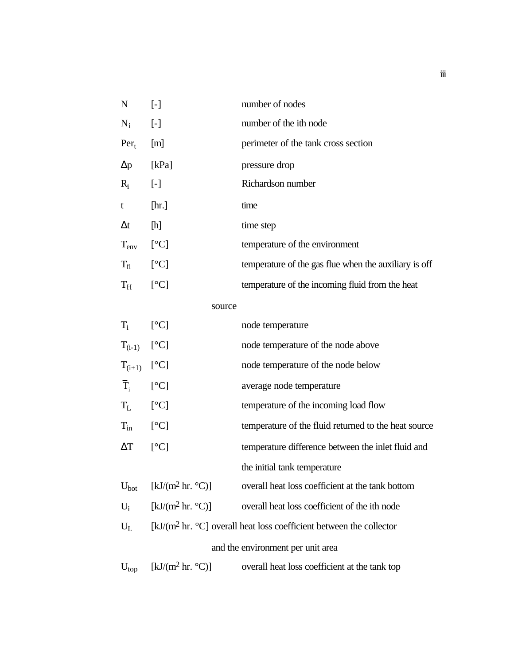| N                | $[\cdot]$                                                                                                                                                                                                                                                                                                                                                                                                                                                                                                                          | number of nodes                                                                          |
|------------------|------------------------------------------------------------------------------------------------------------------------------------------------------------------------------------------------------------------------------------------------------------------------------------------------------------------------------------------------------------------------------------------------------------------------------------------------------------------------------------------------------------------------------------|------------------------------------------------------------------------------------------|
| $N_i$            | $\left[ -\right] % \begin{minipage}[b]{.45\linewidth} \centering \includegraphics[width=\textwidth]{figs/fig_4b-1} \caption{The number of times in the left and right.} \label{fig:2b-1} \end{minipage} \vspace{0.05\linewidth} \vspace{0.05\linewidth} \vspace{0.05\linewidth} \vspace{0.05\linewidth} \vspace{0.05\linewidth} \vspace{0.05\linewidth} \vspace{0.05\linewidth} \vspace{0.05\linewidth} \vspace{0.05\linewidth} \vspace{0.05\linewidth} \vspace{0.05\linewidth} \vspace{0.05\linewidth} \vspace{0.05\linewidth} \$ | number of the ith node                                                                   |
| $Per_t$          | [m]                                                                                                                                                                                                                                                                                                                                                                                                                                                                                                                                | perimeter of the tank cross section                                                      |
| $\Delta p$       | [kPa]                                                                                                                                                                                                                                                                                                                                                                                                                                                                                                                              | pressure drop                                                                            |
| $R_i$            | $[-]$                                                                                                                                                                                                                                                                                                                                                                                                                                                                                                                              | Richardson number                                                                        |
| t                | [hr.]                                                                                                                                                                                                                                                                                                                                                                                                                                                                                                                              | time                                                                                     |
| $\Delta t$       | [h]                                                                                                                                                                                                                                                                                                                                                                                                                                                                                                                                | time step                                                                                |
| $T_{env}$        | [°C]                                                                                                                                                                                                                                                                                                                                                                                                                                                                                                                               | temperature of the environment                                                           |
| $T_{\rm fl}$     | $[^{\circ}C]$                                                                                                                                                                                                                                                                                                                                                                                                                                                                                                                      | temperature of the gas flue when the auxiliary is off                                    |
| $\rm T_{H}$      | [°C]                                                                                                                                                                                                                                                                                                                                                                                                                                                                                                                               | temperature of the incoming fluid from the heat                                          |
|                  | source                                                                                                                                                                                                                                                                                                                                                                                                                                                                                                                             |                                                                                          |
| $T_i$            | [°C]                                                                                                                                                                                                                                                                                                                                                                                                                                                                                                                               | node temperature                                                                         |
| $T_{(i-1)}$ [°C] |                                                                                                                                                                                                                                                                                                                                                                                                                                                                                                                                    | node temperature of the node above                                                       |
| $T_{(i+1)}$ [°C] |                                                                                                                                                                                                                                                                                                                                                                                                                                                                                                                                    | node temperature of the node below                                                       |
| $T_i$            | [°C]                                                                                                                                                                                                                                                                                                                                                                                                                                                                                                                               | average node temperature                                                                 |
| $T_{\rm L}$      | [°C]                                                                                                                                                                                                                                                                                                                                                                                                                                                                                                                               | temperature of the incoming load flow                                                    |
| $T_{in}$         | $[^{\circ}C]$                                                                                                                                                                                                                                                                                                                                                                                                                                                                                                                      | temperature of the fluid returned to the heat source                                     |
| $\Delta T$       | $[^{\circ}C]$                                                                                                                                                                                                                                                                                                                                                                                                                                                                                                                      | temperature difference between the inlet fluid and                                       |
|                  |                                                                                                                                                                                                                                                                                                                                                                                                                                                                                                                                    | the initial tank temperature                                                             |
| $U_{bot}$        | $[kJ/(m^2 hr. °C)]$                                                                                                                                                                                                                                                                                                                                                                                                                                                                                                                | overall heat loss coefficient at the tank bottom                                         |
| $U_i$            | [kJ/(m <sup>2</sup> hr. °C)]                                                                                                                                                                                                                                                                                                                                                                                                                                                                                                       | overall heat loss coefficient of the ith node                                            |
| $U_L$            |                                                                                                                                                                                                                                                                                                                                                                                                                                                                                                                                    | [ $kJ/(m^2 \text{ hr. } ^{\circ}C$ ] overall heat loss coefficient between the collector |
|                  |                                                                                                                                                                                                                                                                                                                                                                                                                                                                                                                                    | and the environment per unit area                                                        |
| $U_{top}$        | [kJ/(m <sup>2</sup> hr. °C)]                                                                                                                                                                                                                                                                                                                                                                                                                                                                                                       | overall heat loss coefficient at the tank top                                            |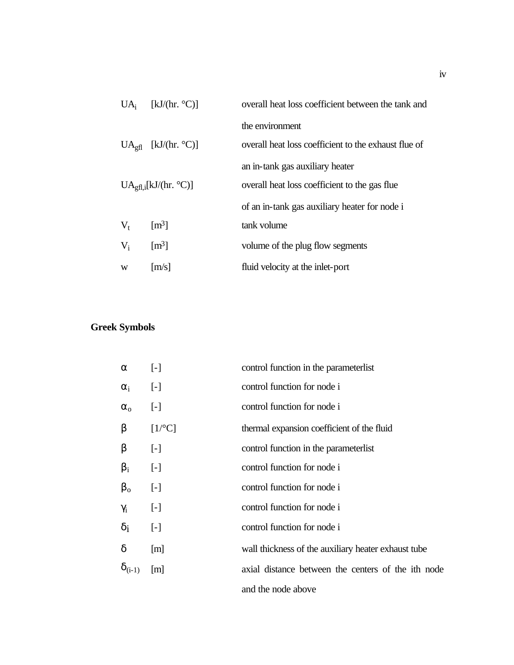|                                              | $UA_i$ [kJ/(hr. $^{\circ}$ C)]  | overall heat loss coefficient between the tank and   |
|----------------------------------------------|---------------------------------|------------------------------------------------------|
|                                              |                                 | the environment                                      |
|                                              | $UA_{\text{eff}}$ [kJ/(hr. °C)] | overall heat loss coefficient to the exhaust flue of |
|                                              |                                 | an in-tank gas auxiliary heater                      |
| $UA_{\text{eff},i}[kJ/\text{hr.} ^\circ C)]$ |                                 | overall heat loss coefficient to the gas flue        |
|                                              |                                 | of an in-tank gas auxiliary heater for node i        |
| $V_{t}$                                      | $\lceil m^3 \rceil$             | tank volume                                          |
| $V_i$                                        | $\lceil m^3 \rceil$             | volume of the plug flow segments                     |
| W                                            | [m/s]                           | fluid velocity at the inlet-port                     |

# **Greek Symbols**

| $\alpha$         | $[\cdot]$ | control function in the parameterlist               |
|------------------|-----------|-----------------------------------------------------|
| $\alpha_i$       | $[-]$     | control function for node i                         |
| $\alpha_{\rm o}$ | $[-]$     | control function for node i                         |
| $\beta$          | [1/°C]    | thermal expansion coefficient of the fluid          |
| $\beta$          | $[-]$     | control function in the parameterlist               |
| $\beta_i$        | $[-]$     | control function for node i                         |
| $\beta_{\rm o}$  | $[\cdot]$ | control function for node i                         |
| $\gamma_i$       | $[-]$     | control function for node i                         |
| $\delta_i$       | $[-]$     | control function for node i                         |
| $\delta$         | [m]       | wall thickness of the auxiliary heater exhaust tube |
| $\delta_{(i-1)}$ | [m]       | axial distance between the centers of the ith node  |
|                  |           | and the node above                                  |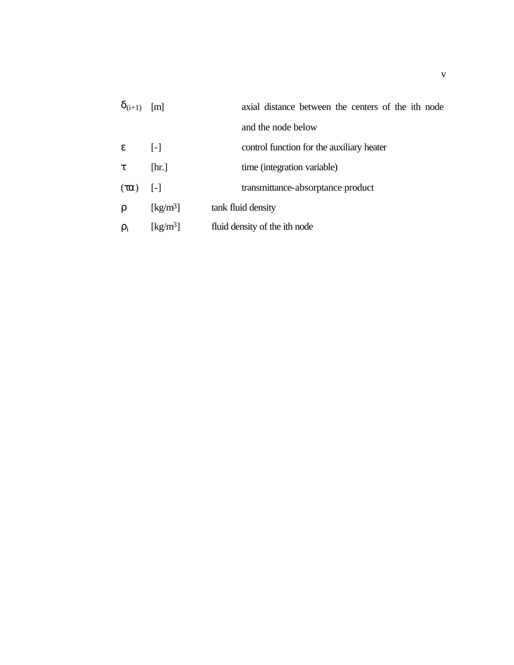| $\delta_{(i+1)}$ | [m]                            | axial distance between the centers of the ith node |
|------------------|--------------------------------|----------------------------------------------------|
|                  |                                | and the node below                                 |
| $\varepsilon$    | $ - $                          | control function for the auxiliary heater          |
| $\tau$           | [hr.]                          | time (integration variable)                        |
| $(\tau\alpha)$   | $\vert - \vert$                | transmittance-absorptance product                  |
| $\rho$           | $\left[\mathrm{kg/m^3}\right]$ | tank fluid density                                 |
| $\rho_i$         | $\lceil \text{kg/m}^3 \rceil$  | fluid density of the ith node                      |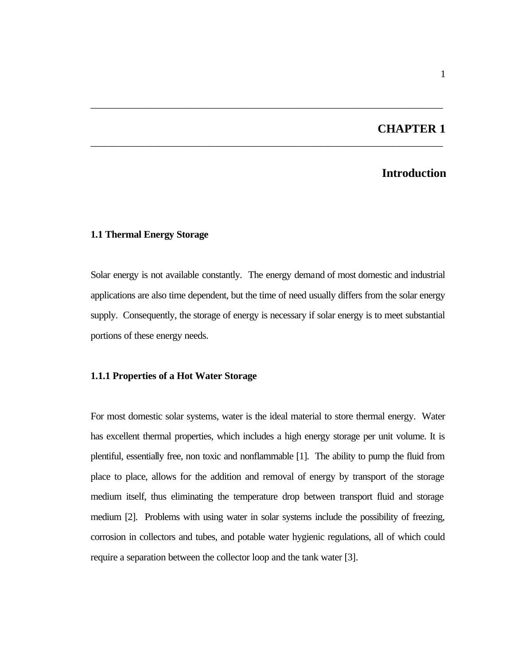# **CHAPTER 1**

# **Introduction**

### **1.1 Thermal Energy Storage**

Solar energy is not available constantly. The energy demand of most domestic and industrial applications are also time dependent, but the time of need usually differs from the solar energy supply. Consequently, the storage of energy is necessary if solar energy is to meet substantial portions of these energy needs.

\_\_\_\_\_\_\_\_\_\_\_\_\_\_\_\_\_\_\_\_\_\_\_\_\_\_\_\_\_\_\_\_\_\_\_\_\_\_\_\_\_\_\_\_\_\_\_\_\_\_\_\_\_\_\_\_\_\_\_\_\_\_\_\_\_\_\_\_\_\_

\_\_\_\_\_\_\_\_\_\_\_\_\_\_\_\_\_\_\_\_\_\_\_\_\_\_\_\_\_\_\_\_\_\_\_\_\_\_\_\_\_\_\_\_\_\_\_\_\_\_\_\_\_\_\_\_\_\_\_\_\_\_\_\_\_\_\_\_\_\_

#### **1.1.1 Properties of a Hot Water Storage**

For most domestic solar systems, water is the ideal material to store thermal energy. Water has excellent thermal properties, which includes a high energy storage per unit volume. It is plentiful, essentially free, non toxic and nonflammable [1]. The ability to pump the fluid from place to place, allows for the addition and removal of energy by transport of the storage medium itself, thus eliminating the temperature drop between transport fluid and storage medium [2]. Problems with using water in solar systems include the possibility of freezing, corrosion in collectors and tubes, and potable water hygienic regulations, all of which could require a separation between the collector loop and the tank water [3].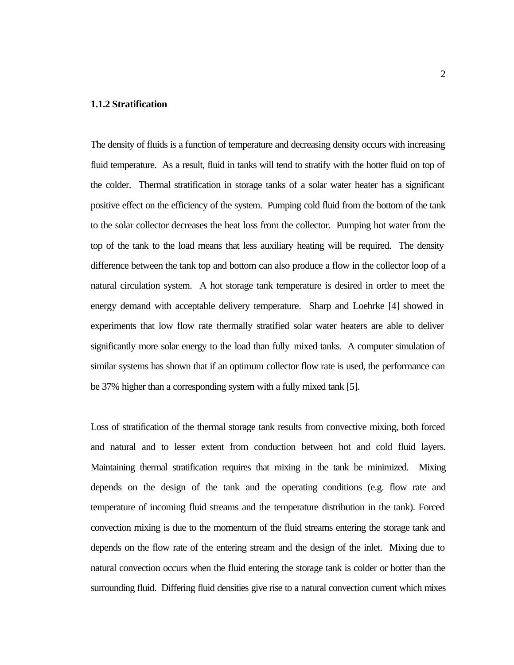#### **1.1.2 Stratification**

The density of fluids is a function of temperature and decreasing density occurs with increasing fluid temperature. As a result, fluid in tanks will tend to stratify with the hotter fluid on top of the colder. Thermal stratification in storage tanks of a solar water heater has a significant positive effect on the efficiency of the system. Pumping cold fluid from the bottom of the tank to the solar collector decreases the heat loss from the collector. Pumping hot water from the top of the tank to the load means that less auxiliary heating will be required. The density difference between the tank top and bottom can also produce a flow in the collector loop of a natural circulation system. A hot storage tank temperature is desired in order to meet the energy demand with acceptable delivery temperature. Sharp and Loehrke [4] showed in experiments that low flow rate thermally stratified solar water heaters are able to deliver significantly more solar energy to the load than fully mixed tanks. A computer simulation of similar systems has shown that if an optimum collector flow rate is used, the performance can be 37% higher than a corresponding system with a fully mixed tank [5].

Loss of stratification of the thermal storage tank results from convective mixing, both forced and natural and to lesser extent from conduction between hot and cold fluid layers. Maintaining thermal stratification requires that mixing in the tank be minimized. Mixing depends on the design of the tank and the operating conditions (e.g. flow rate and temperature of incoming fluid streams and the temperature distribution in the tank). Forced convection mixing is due to the momentum of the fluid streams entering the storage tank and depends on the flow rate of the entering stream and the design of the inlet. Mixing due to natural convection occurs when the fluid entering the storage tank is colder or hotter than the surrounding fluid. Differing fluid densities give rise to a natural convection current which mixes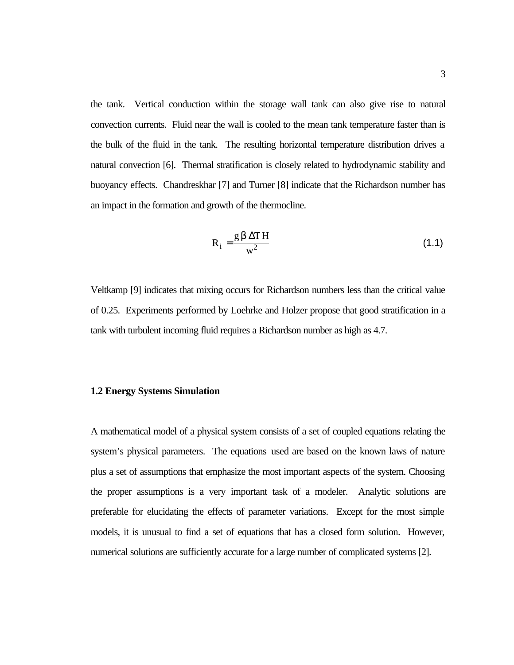the tank. Vertical conduction within the storage wall tank can also give rise to natural convection currents. Fluid near the wall is cooled to the mean tank temperature faster than is the bulk of the fluid in the tank. The resulting horizontal temperature distribution drives a natural convection [6]. Thermal stratification is closely related to hydrodynamic stability and buoyancy effects. Chandreskhar [7] and Turner [8] indicate that the Richardson number has an impact in the formation and growth of the thermocline.

$$
R_i = \frac{g \, \mathbf{b} \, \Delta T \, H}{w^2} \tag{1.1}
$$

Veltkamp [9] indicates that mixing occurs for Richardson numbers less than the critical value of 0.25. Experiments performed by Loehrke and Holzer propose that good stratification in a tank with turbulent incoming fluid requires a Richardson number as high as 4.7.

#### **1.2 Energy Systems Simulation**

A mathematical model of a physical system consists of a set of coupled equations relating the system's physical parameters. The equations used are based on the known laws of nature plus a set of assumptions that emphasize the most important aspects of the system. Choosing the proper assumptions is a very important task of a modeler. Analytic solutions are preferable for elucidating the effects of parameter variations. Except for the most simple models, it is unusual to find a set of equations that has a closed form solution. However, numerical solutions are sufficiently accurate for a large number of complicated systems [2].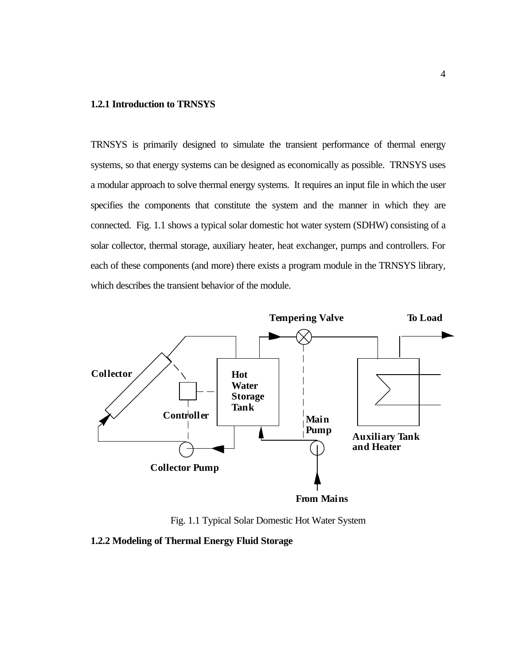#### **1.2.1 Introduction to TRNSYS**

TRNSYS is primarily designed to simulate the transient performance of thermal energy systems, so that energy systems can be designed as economically as possible. TRNSYS uses a modular approach to solve thermal energy systems. It requires an input file in which the user specifies the components that constitute the system and the manner in which they are connected. Fig. 1.1 shows a typical solar domestic hot water system (SDHW) consisting of a solar collector, thermal storage, auxiliary heater, heat exchanger, pumps and controllers. For each of these components (and more) there exists a program module in the TRNSYS library, which describes the transient behavior of the module.



Fig. 1.1 Typical Solar Domestic Hot Water System

### **1.2.2 Modeling of Thermal Energy Fluid Storage**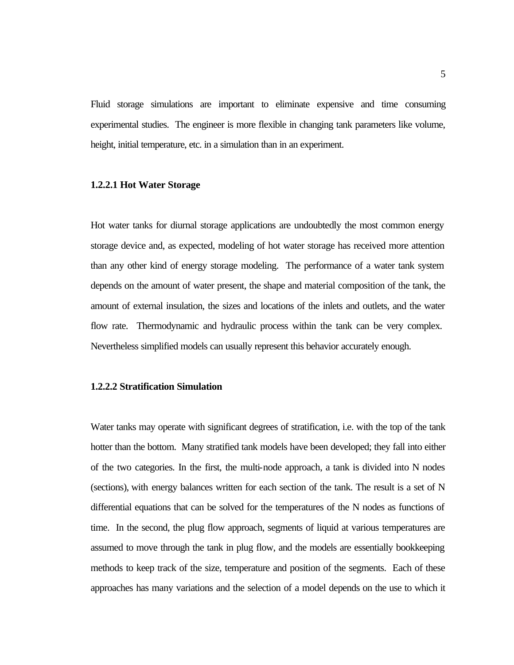Fluid storage simulations are important to eliminate expensive and time consuming experimental studies. The engineer is more flexible in changing tank parameters like volume, height, initial temperature, etc. in a simulation than in an experiment.

#### **1.2.2.1 Hot Water Storage**

Hot water tanks for diurnal storage applications are undoubtedly the most common energy storage device and, as expected, modeling of hot water storage has received more attention than any other kind of energy storage modeling. The performance of a water tank system depends on the amount of water present, the shape and material composition of the tank, the amount of external insulation, the sizes and locations of the inlets and outlets, and the water flow rate. Thermodynamic and hydraulic process within the tank can be very complex. Nevertheless simplified models can usually represent this behavior accurately enough.

### **1.2.2.2 Stratification Simulation**

Water tanks may operate with significant degrees of stratification, i.e. with the top of the tank hotter than the bottom. Many stratified tank models have been developed; they fall into either of the two categories. In the first, the multi-node approach, a tank is divided into N nodes (sections), with energy balances written for each section of the tank. The result is a set of N differential equations that can be solved for the temperatures of the N nodes as functions of time. In the second, the plug flow approach, segments of liquid at various temperatures are assumed to move through the tank in plug flow, and the models are essentially bookkeeping methods to keep track of the size, temperature and position of the segments. Each of these approaches has many variations and the selection of a model depends on the use to which it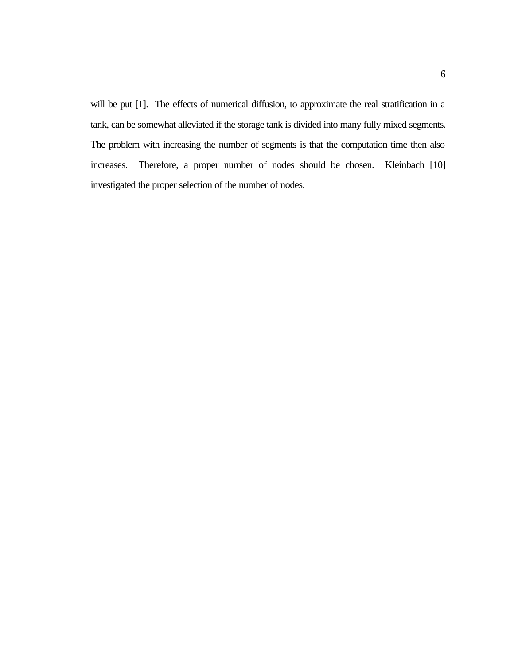will be put [1]. The effects of numerical diffusion, to approximate the real stratification in a tank, can be somewhat alleviated if the storage tank is divided into many fully mixed segments. The problem with increasing the number of segments is that the computation time then also increases. Therefore, a proper number of nodes should be chosen. Kleinbach [10] investigated the proper selection of the number of nodes.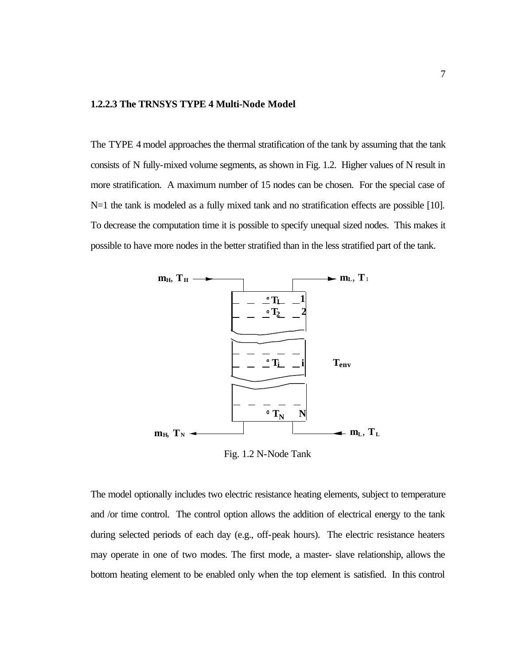#### **1.2.2.3 The TRNSYS TYPE 4 Multi-Node Model**

The TYPE 4 model approaches the thermal stratification of the tank by assuming that the tank consists of N fully-mixed volume segments, as shown in Fig. 1.2. Higher values of N result in more stratification. A maximum number of 15 nodes can be chosen. For the special case of N=1 the tank is modeled as a fully mixed tank and no stratification effects are possible [10]. To decrease the computation time it is possible to specify unequal sized nodes. This makes it possible to have more nodes in the better stratified than in the less stratified part of the tank.



Fig. 1.2 N-Node Tank

The model optionally includes two electric resistance heating elements, subject to temperature and /or time control. The control option allows the addition of electrical energy to the tank during selected periods of each day (e.g., off-peak hours). The electric resistance heaters may operate in one of two modes. The first mode, a master- slave relationship, allows the bottom heating element to be enabled only when the top element is satisfied. In this control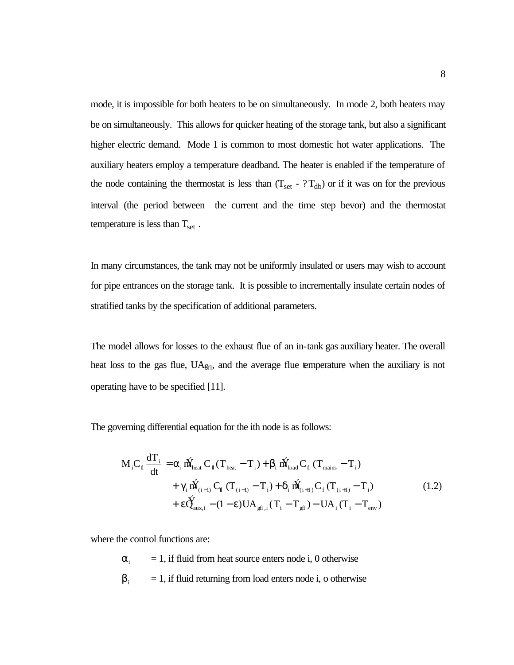mode, it is impossible for both heaters to be on simultaneously. In mode 2, both heaters may be on simultaneously. This allows for quicker heating of the storage tank, but also a significant higher electric demand. Mode 1 is common to most domestic hot water applications. The auxiliary heaters employ a temperature deadband. The heater is enabled if the temperature of the node containing the thermostat is less than  $(T_{set} - T_{db})$  or if it was on for the previous interval (the period between the current and the time step bevor) and the thermostat temperature is less than  $T_{\text{set}}$ .

In many circumstances, the tank may not be uniformly insulated or users may wish to account for pipe entrances on the storage tank. It is possible to incrementally insulate certain nodes of stratified tanks by the specification of additional parameters.

The model allows for losses to the exhaust flue of an in-tank gas auxiliary heater. The overall heat loss to the gas flue,  $UA_{\text{eff}}$ , and the average flue temperature when the auxiliary is not operating have to be specified [11].

The governing differential equation for the ith node is as follows:

$$
M_{i}C_{\mathbf{f}}\frac{dT_{i}}{dt} = \alpha_{i} \tilde{M}_{heat} C_{\mathbf{f}} (T_{heat} - T_{i}) + \beta_{i} \tilde{M}_{load} C_{\mathbf{f}} (T_{mains} - T_{i}) + \gamma_{i} \tilde{M}_{(i-1)} C_{\mathbf{f}} (T_{(i-1)} - T_{i}) + \delta_{i} \tilde{M}_{(i+1)} C_{f} (T_{(i+1)} - T_{i}) + \epsilon \tilde{Q}_{aux,i} - (1 - \epsilon) U A_{gl,i} (T_{i} - T_{gl}) - U A_{i} (T_{i} - T_{env})
$$
\n(1.2)

where the control functions are:

 $\alpha_i$  = 1, if fluid from heat source enters node i, 0 otherwise

 $\beta_i$  = 1, if fluid returning from load enters node i, o otherwise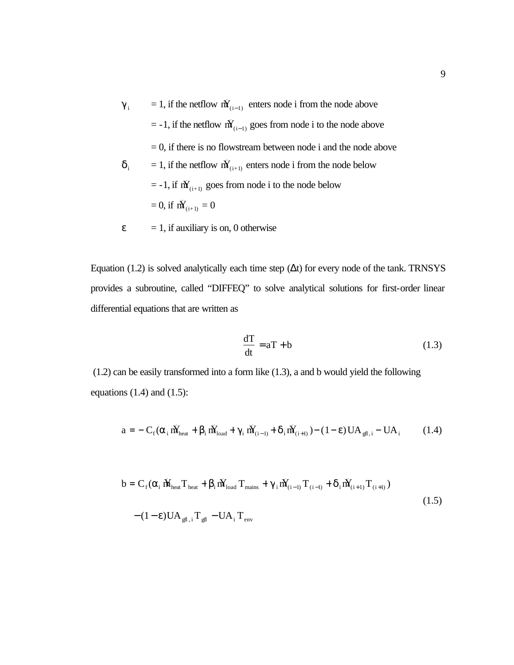- $\gamma_i$  = 1, if the netflow  $\dot{M}_{(i-1)}$  enters node i from the node above  $=$  -1, if the netflow  $\vec{M}_{(i-1)}$  goes from node i to the node above  $= 0$ , if there is no flowstream between node i and the node above  $\delta_i$  = 1, if the netflow  $\dot{M}_{(i+1)}$  enters node i from the node below  $=$  -1, if  $\mathbf{\vec{M}}_{(i+1)}$  goes from node i to the node below  $= 0$ , if  $\dot{M}_{(i+1)} = 0$
- $\epsilon$  = 1, if auxiliary is on, 0 otherwise

Equation (1.2) is solved analytically each time step  $(\Delta t)$  for every node of the tank. TRNSYS provides a subroutine, called "DIFFEQ" to solve analytical solutions for first-order linear differential equations that are written as

$$
\frac{dT}{dt} = aT + b \tag{1.3}
$$

 (1.2) can be easily transformed into a form like (1.3), a and b would yield the following equations  $(1.4)$  and  $(1.5)$ :

$$
a = -C_f(\alpha_i \mathbf{\hat{M}}_{\text{heat}} + \beta_i \mathbf{\hat{M}}_{\text{load}} + \gamma_i \mathbf{\hat{M}}_{(i-1)} + \delta_i \mathbf{\hat{M}}_{(i+1)}) - (1 - \varepsilon) \mathbf{UA}_{\text{gt},i} - \mathbf{UA}_i \tag{1.4}
$$

$$
b = C_f(\alpha_i \widetilde{M}_{heat} T_{heat} + \beta_i \widetilde{M}_{load} T_{main} + \gamma_i \widetilde{M}_{(i-1)} T_{(i-1)} + \delta_i \widetilde{M}_{(i+1)} T_{(i+1)})
$$
  
- (1 - \epsilon) UA<sub>gfl,i</sub> T<sub>gfl</sub> - UA<sub>i</sub> T<sub>env</sub> (1.5)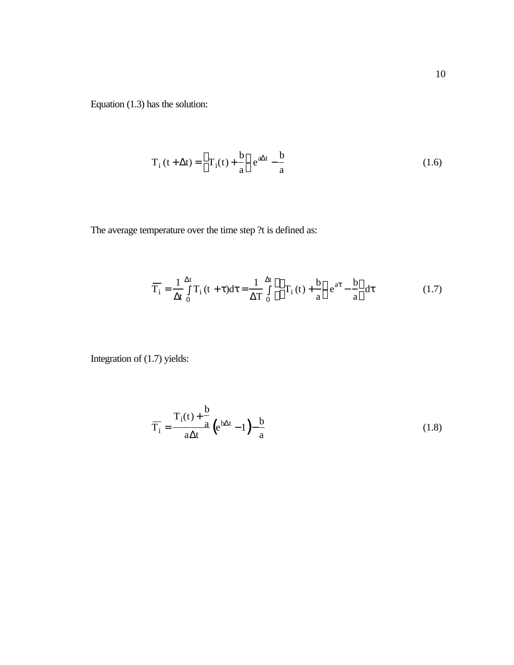Equation (1.3) has the solution:

$$
T_i(t + \Delta t) = \left(T_i(t) + \frac{b}{a}\right) e^{a\Delta t} - \frac{b}{a}
$$
 (1.6)

The average temperature over the time step  $?t$  is defined as:

$$
\overline{T_i} = \frac{1}{\Delta t} \int_0^{\Delta t} T_i (t + \tau) d\tau = \frac{1}{\Delta T} \int_0^{\Delta t} \left( \left( T_i (t) + \frac{b}{a} \right) e^{a\tau} - \frac{b}{a} \right) d\tau \tag{1.7}
$$

Integration of (1.7) yields:

$$
\overline{T}_i = \frac{T_i(t) + \frac{b}{a}}{a\Delta t} \left(e^{b\Delta t} - 1\right) - \frac{b}{a}
$$
\n(1.8)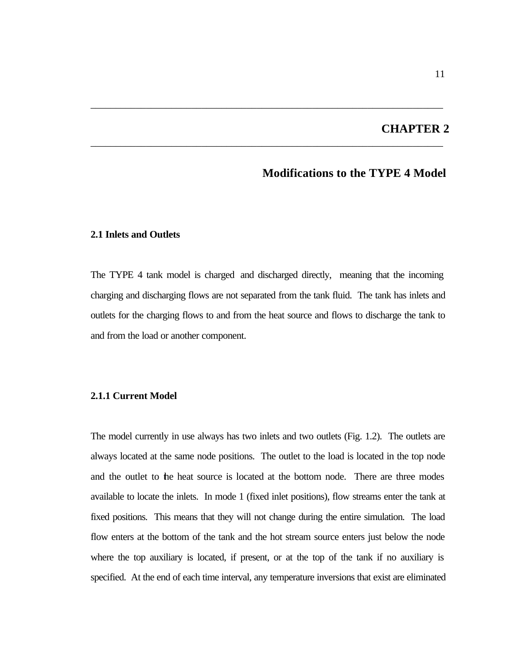# **CHAPTER 2**

# **Modifications to the TYPE 4 Model**

### **2.1 Inlets and Outlets**

The TYPE 4 tank model is charged and discharged directly, meaning that the incoming charging and discharging flows are not separated from the tank fluid. The tank has inlets and outlets for the charging flows to and from the heat source and flows to discharge the tank to and from the load or another component.

\_\_\_\_\_\_\_\_\_\_\_\_\_\_\_\_\_\_\_\_\_\_\_\_\_\_\_\_\_\_\_\_\_\_\_\_\_\_\_\_\_\_\_\_\_\_\_\_\_\_\_\_\_\_\_\_\_\_\_\_\_\_\_\_\_\_\_\_\_\_

\_\_\_\_\_\_\_\_\_\_\_\_\_\_\_\_\_\_\_\_\_\_\_\_\_\_\_\_\_\_\_\_\_\_\_\_\_\_\_\_\_\_\_\_\_\_\_\_\_\_\_\_\_\_\_\_\_\_\_\_\_\_\_\_\_\_\_\_\_\_

### **2.1.1 Current Model**

The model currently in use always has two inlets and two outlets (Fig. 1.2). The outlets are always located at the same node positions. The outlet to the load is located in the top node and the outlet to the heat source is located at the bottom node. There are three modes available to locate the inlets. In mode 1 (fixed inlet positions), flow streams enter the tank at fixed positions. This means that they will not change during the entire simulation. The load flow enters at the bottom of the tank and the hot stream source enters just below the node where the top auxiliary is located, if present, or at the top of the tank if no auxiliary is specified. At the end of each time interval, any temperature inversions that exist are eliminated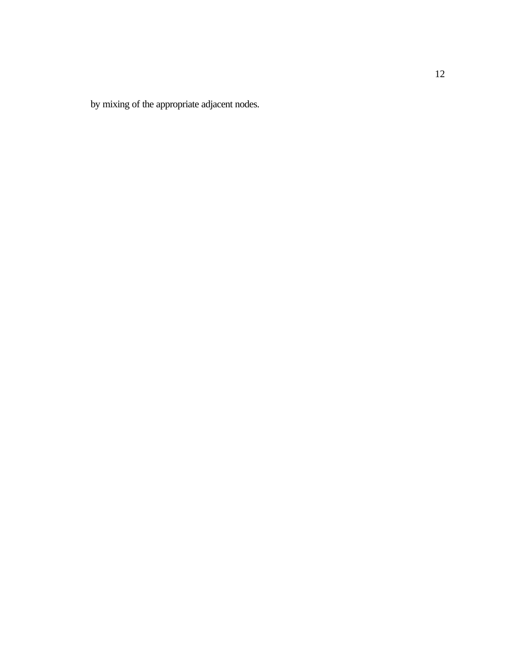by mixing of the appropriate adjacent nodes.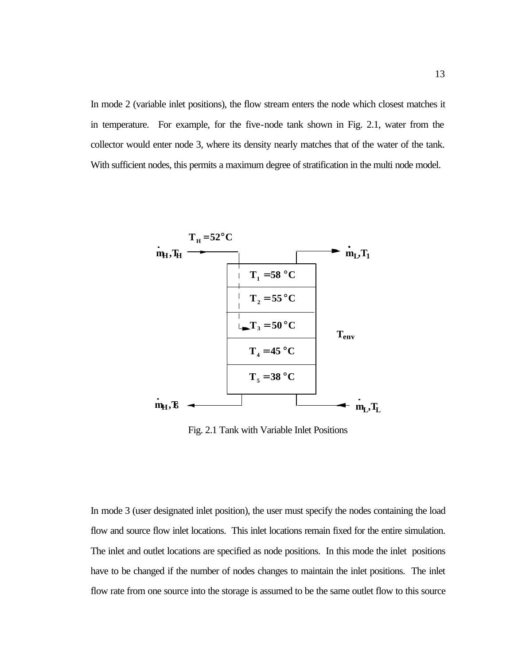In mode 2 (variable inlet positions), the flow stream enters the node which closest matches it in temperature. For example, for the five-node tank shown in Fig. 2.1, water from the collector would enter node 3, where its density nearly matches that of the water of the tank. With sufficient nodes, this permits a maximum degree of stratification in the multi node model.



Fig. 2.1 Tank with Variable Inlet Positions

In mode 3 (user designated inlet position), the user must specify the nodes containing the load flow and source flow inlet locations. This inlet locations remain fixed for the entire simulation. The inlet and outlet locations are specified as node positions. In this mode the inlet positions have to be changed if the number of nodes changes to maintain the inlet positions. The inlet flow rate from one source into the storage is assumed to be the same outlet flow to this source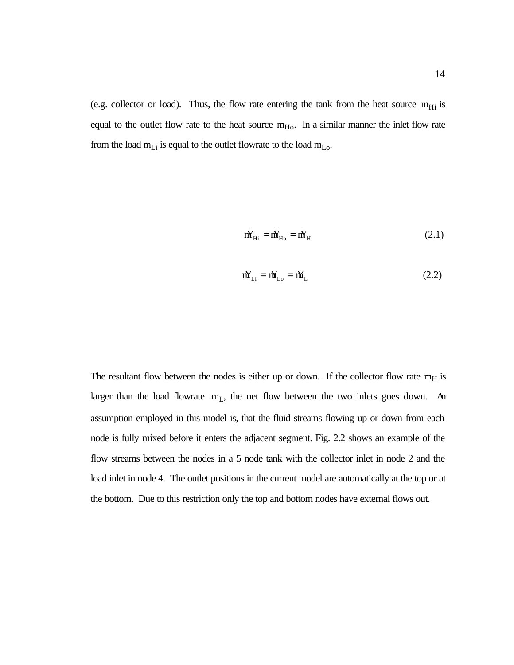(e.g. collector or load). Thus, the flow rate entering the tank from the heat source  $m_{Hi}$  is equal to the outlet flow rate to the heat source  $m_{\text{Ho}}$ . In a similar manner the inlet flow rate from the load  $m_{Li}$  is equal to the outlet flowrate to the load  $m_{Lo}$ .

$$
\dot{\mathbf{M}}_{\rm Hi} = \dot{\mathbf{M}}_{\rm Ho} = \dot{\mathbf{M}}_{\rm H} \tag{2.1}
$$

$$
\dot{\mathbf{M}}_{\text{Li}} = \dot{\mathbf{M}}_{\text{Lo}} = \dot{\mathbf{M}}_{\text{L}} \tag{2.2}
$$

The resultant flow between the nodes is either up or down. If the collector flow rate  $m_H$  is larger than the load flowrate  $m<sub>L</sub>$ , the net flow between the two inlets goes down. An assumption employed in this model is, that the fluid streams flowing up or down from each node is fully mixed before it enters the adjacent segment. Fig. 2.2 shows an example of the flow streams between the nodes in a 5 node tank with the collector inlet in node 2 and the load inlet in node 4. The outlet positions in the current model are automatically at the top or at the bottom. Due to this restriction only the top and bottom nodes have external flows out.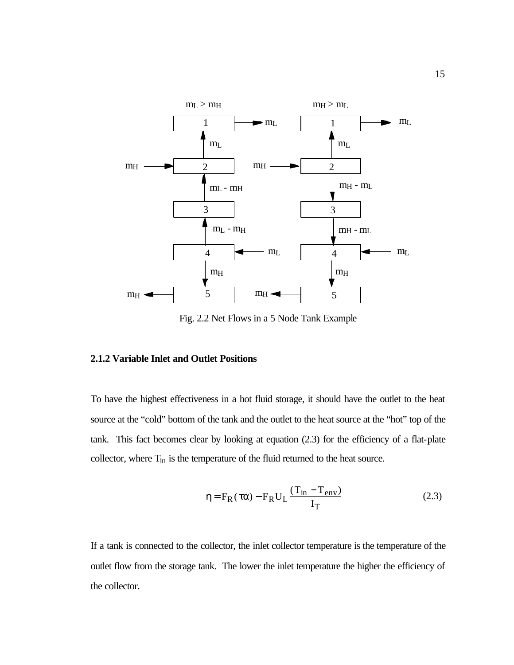

Fig. 2.2 Net Flows in a 5 Node Tank Example

## **2.1.2 Variable Inlet and Outlet Positions**

To have the highest effectiveness in a hot fluid storage, it should have the outlet to the heat source at the "cold" bottom of the tank and the outlet to the heat source at the "hot" top of the tank. This fact becomes clear by looking at equation (2.3) for the efficiency of a flat-plate collector, where Tin is the temperature of the fluid returned to the heat source.

$$
\eta = F_{R}(\tau \alpha) - F_{R} U_{L} \frac{(T_{in} - T_{env})}{I_{T}}
$$
\n(2.3)

If a tank is connected to the collector, the inlet collector temperature is the temperature of the outlet flow from the storage tank. The lower the inlet temperature the higher the efficiency of the collector.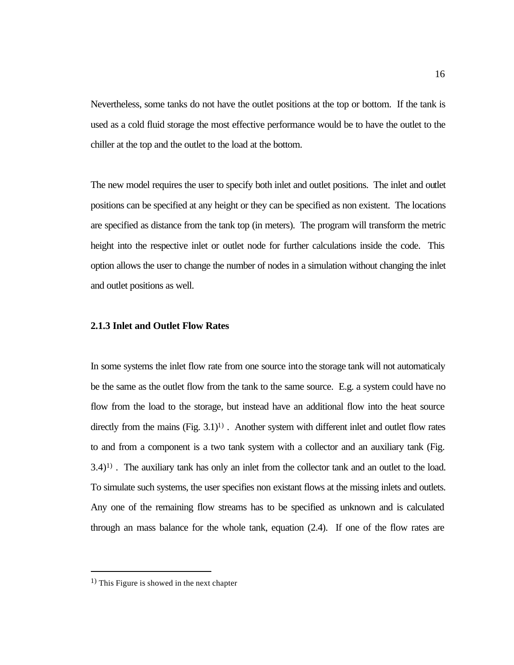Nevertheless, some tanks do not have the outlet positions at the top or bottom. If the tank is used as a cold fluid storage the most effective performance would be to have the outlet to the chiller at the top and the outlet to the load at the bottom.

The new model requires the user to specify both inlet and outlet positions. The inlet and outlet positions can be specified at any height or they can be specified as non existent. The locations are specified as distance from the tank top (in meters). The program will transform the metric height into the respective inlet or outlet node for further calculations inside the code. This option allows the user to change the number of nodes in a simulation without changing the inlet and outlet positions as well.

### **2.1.3 Inlet and Outlet Flow Rates**

In some systems the inlet flow rate from one source into the storage tank will not automaticaly be the same as the outlet flow from the tank to the same source. E.g. a system could have no flow from the load to the storage, but instead have an additional flow into the heat source directly from the mains (Fig.  $(3.1)^{1}$ ). Another system with different inlet and outlet flow rates to and from a component is a two tank system with a collector and an auxiliary tank (Fig.  $3.4$ <sup> $\uparrow$ 1</sup>). The auxiliary tank has only an inlet from the collector tank and an outlet to the load. To simulate such systems, the user specifies non existant flows at the missing inlets and outlets. Any one of the remaining flow streams has to be specified as unknown and is calculated through an mass balance for the whole tank, equation (2.4). If one of the flow rates are

 $\overline{a}$ 

<sup>1)</sup> This Figure is showed in the next chapter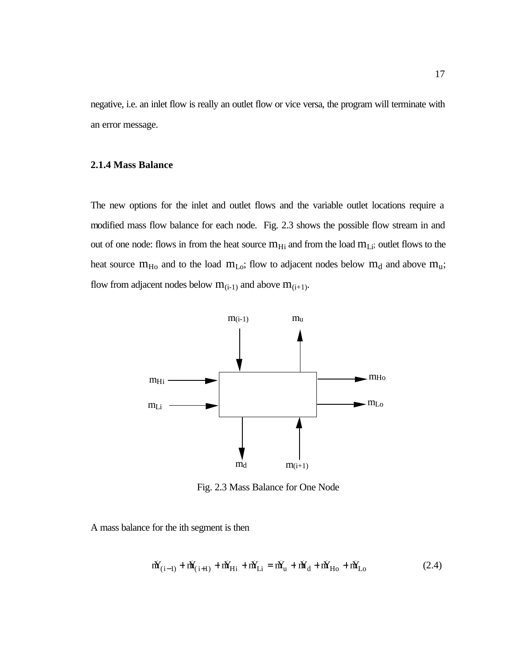negative, i.e. an inlet flow is really an outlet flow or vice versa, the program will terminate with an error message.

### **2.1.4 Mass Balance**

The new options for the inlet and outlet flows and the variable outlet locations require a modified mass flow balance for each node. Fig. 2.3 shows the possible flow stream in and out of one node: flows in from the heat source  $m_{Hi}$  and from the load  $m_{Li}$ ; outlet flows to the heat source  $m_{H_0}$  and to the load  $m_{Lo}$ ; flow to adjacent nodes below  $m_d$  and above  $m_u$ ; flow from adjacent nodes below  $m_{(i-1)}$  and above  $m_{(i+1)}$ .



Fig. 2.3 Mass Balance for One Node

A mass balance for the ith segment is then

$$
\dot{\mathbf{M}}_{(i-1)} + \dot{\mathbf{M}}_{(i+1)} + \dot{\mathbf{M}}_{\text{Hi}} + \dot{\mathbf{M}}_{\text{Li}} = \dot{\mathbf{M}}_{\text{u}} + \dot{\mathbf{M}}_{\text{d}} + \dot{\mathbf{M}}_{\text{Ho}} + \dot{\mathbf{M}}_{\text{Lo}} \tag{2.4}
$$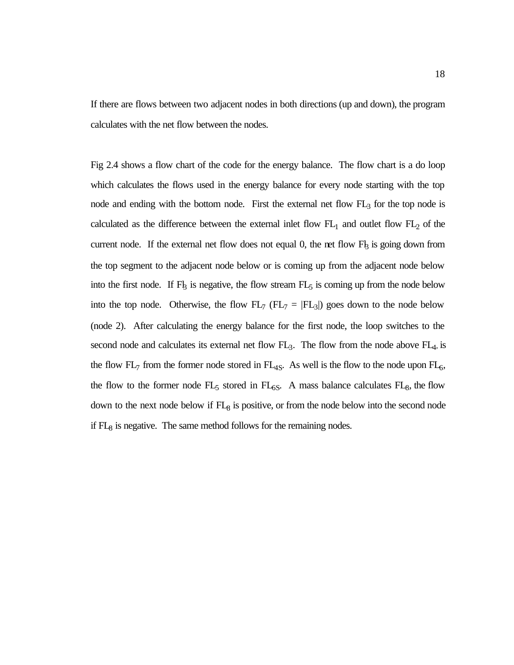If there are flows between two adjacent nodes in both directions (up and down), the program calculates with the net flow between the nodes.

Fig 2.4 shows a flow chart of the code for the energy balance. The flow chart is a do loop which calculates the flows used in the energy balance for every node starting with the top node and ending with the bottom node. First the external net flow  $FL_3$  for the top node is calculated as the difference between the external inlet flow  $FL_1$  and outlet flow  $FL_2$  of the current node. If the external net flow does not equal  $0$ , the net flow  $F<sub>3</sub>$  is going down from the top segment to the adjacent node below or is coming up from the adjacent node below into the first node. If  $F_5$  is negative, the flow stream  $FL_5$  is coming up from the node below into the top node. Otherwise, the flow  $FL_7$  ( $FL_7 = |FL_3|$ ) goes down to the node below (node 2). After calculating the energy balance for the first node, the loop switches to the second node and calculates its external net flow  $FL_3$ . The flow from the node above  $FL_4$ , is the flow FL<sub>7</sub> from the former node stored in FL<sub>4S</sub>. As well is the flow to the node upon FL<sub>6</sub>, the flow to the former node  $FL_5$  stored in  $FL_{6S}$ . A mass balance calculates  $FL_8$ , the flow down to the next node below if  $FL_8$  is positive, or from the node below into the second node if  $FL_8$  is negative. The same method follows for the remaining nodes.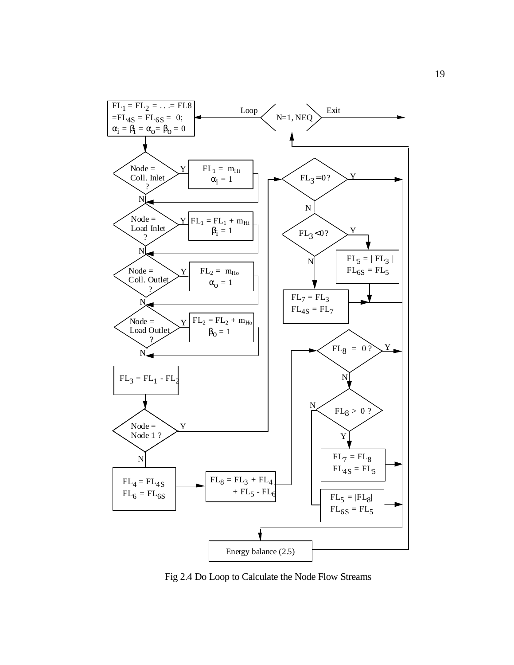

Fig 2.4 Do Loop to Calculate the Node Flow Streams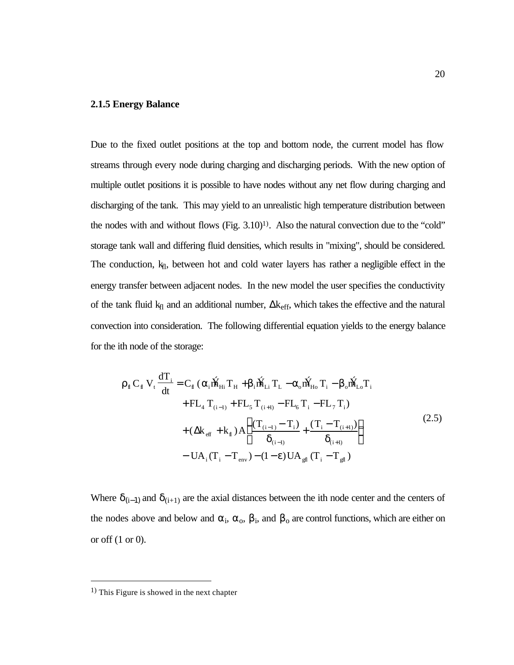#### **2.1.5 Energy Balance**

Due to the fixed outlet positions at the top and bottom node, the current model has flow streams through every node during charging and discharging periods. With the new option of multiple outlet positions it is possible to have nodes without any net flow during charging and discharging of the tank. This may yield to an unrealistic high temperature distribution between the nodes with and without flows (Fig. 3.10)<sup>1)</sup>. Also the natural convection due to the "cold" storage tank wall and differing fluid densities, which results in "mixing", should be considered. The conduction,  $k_{fl}$ , between hot and cold water layers has rather a negligible effect in the energy transfer between adjacent nodes. In the new model the user specifies the conductivity of the tank fluid  $k_{fl}$  and an additional number,  $\Delta k_{eff}$ , which takes the effective and the natural convection into consideration. The following differential equation yields to the energy balance for the ith node of the storage:

$$
\rho_{\rm fl} C_{\rm fl} V_{\rm t} \frac{dT_{\rm i}}{dt} = C_{\rm fl} (\alpha_{\rm i} \hat{M}_{\rm Hi} T_{\rm H} + \beta_{\rm i} \hat{M}_{\rm Li} T_{\rm L} - \alpha_{\rm o} \hat{M}_{\rm Ho} T_{\rm i} - \beta_{\rm o} \hat{M}_{\rm Lo} T_{\rm i} \n+ FL_{4} T_{\rm (i-1)} + FL_{5} T_{\rm (i+1)} - FL_{6} T_{\rm i} - FL_{7} T_{\rm i}) \n+ (\Delta k_{\rm eff} + k_{\rm fl}) A \left( \frac{(T_{\rm (i-1)} - T_{\rm i})}{\delta_{\rm (i-1)}} + \frac{(T_{\rm i} - T_{\rm (i+1)})}{\delta_{\rm (i+1)}} \right) \n- UA_{\rm i} (T_{\rm i} - T_{\rm env}) - (1 - \epsilon) UA_{\rm gfl} (T_{\rm i} - T_{\rm gfl})
$$
\n(2.5)

Where  $\delta_{(i-1)}$  and  $\delta_{(i+1)}$  are the axial distances between the ith node center and the centers of the nodes above and below and  $\alpha_i$ ,  $\alpha_o$ ,  $\beta_i$ , and  $\beta_o$  are control functions, which are either on or off (1 or 0).

 $\overline{a}$ 

<sup>1)</sup> This Figure is showed in the next chapter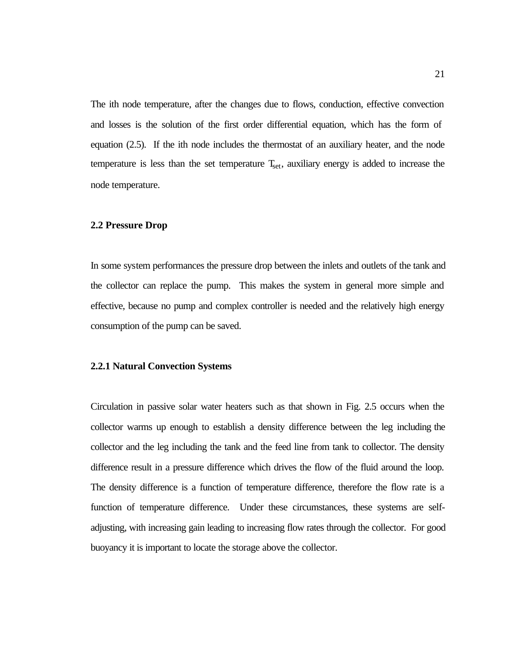The ith node temperature, after the changes due to flows, conduction, effective convection and losses is the solution of the first order differential equation, which has the form of equation (2.5). If the ith node includes the thermostat of an auxiliary heater, and the node temperature is less than the set temperature  $T_{\text{set}}$ , auxiliary energy is added to increase the node temperature.

#### **2.2 Pressure Drop**

In some system performances the pressure drop between the inlets and outlets of the tank and the collector can replace the pump. This makes the system in general more simple and effective, because no pump and complex controller is needed and the relatively high energy consumption of the pump can be saved.

## **2.2.1 Natural Convection Systems**

Circulation in passive solar water heaters such as that shown in Fig. 2.5 occurs when the collector warms up enough to establish a density difference between the leg including the collector and the leg including the tank and the feed line from tank to collector. The density difference result in a pressure difference which drives the flow of the fluid around the loop. The density difference is a function of temperature difference, therefore the flow rate is a function of temperature difference. Under these circumstances, these systems are selfadjusting, with increasing gain leading to increasing flow rates through the collector. For good buoyancy it is important to locate the storage above the collector.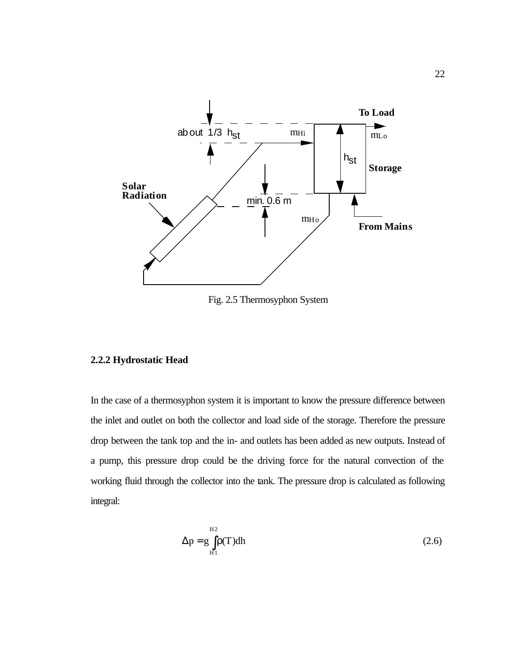

Fig. 2.5 Thermosyphon System

## **2.2.2 Hydrostatic Head**

In the case of a thermosyphon system it is important to know the pressure difference between the inlet and outlet on both the collector and load side of the storage. Therefore the pressure drop between the tank top and the in- and outlets has been added as new outputs. Instead of a pump, this pressure drop could be the driving force for the natural convection of the working fluid through the collector into the tank. The pressure drop is calculated as following integral:

$$
\Delta p = g \int_{H_1}^{H_2} \rho(T) dh \tag{2.6}
$$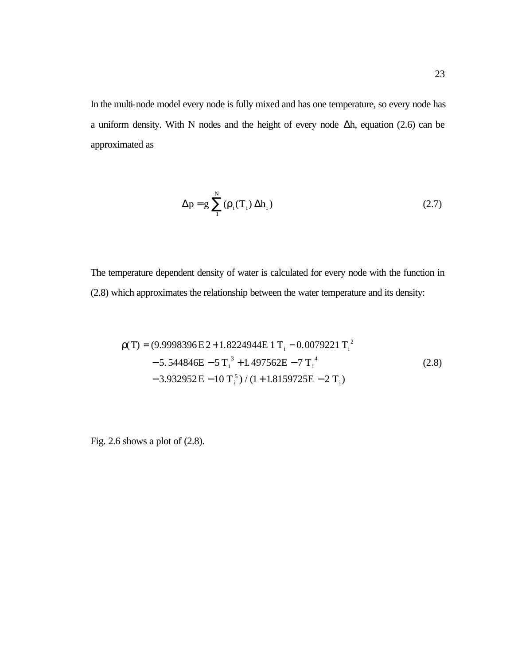In the multi-node model every node is fully mixed and has one temperature, so every node has a uniform density. With N nodes and the height of every node Δh, equation (2.6) can be approximated as

$$
\Delta p = g \sum_{i}^{N} (\rho_i(T_i) \Delta h_i)
$$
 (2.7)

The temperature dependent density of water is calculated for every node with the function in (2.8) which approximates the relationship between the water temperature and its density:

$$
\rho(T) = (9.9998396 \text{E} 2 + 1.8224944 \text{E} 1 \text{ T}_i - 0.0079221 \text{ T}_i^2 - 5.544846 \text{E} - 5 \text{ T}_i^3 + 1.497562 \text{E} - 7 \text{ T}_i^4 - 3.932952 \text{E} - 10 \text{ T}_i^5) / (1 + 1.8159725 \text{E} - 2 \text{ T}_i)
$$
\n(2.8)

Fig. 2.6 shows a plot of (2.8).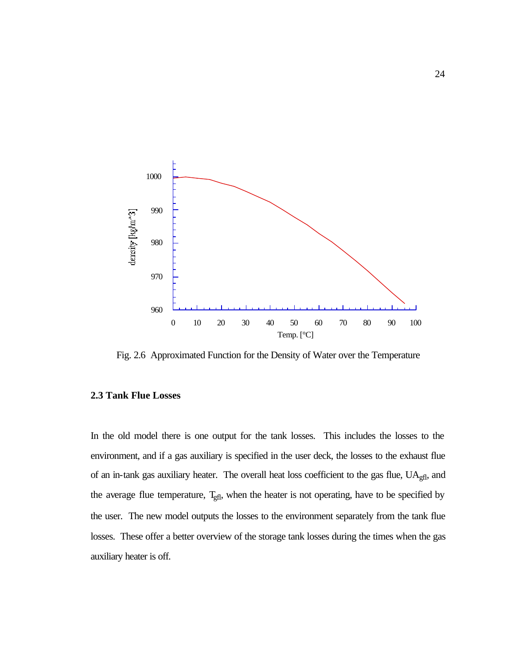

Fig. 2.6 Approximated Function for the Density of Water over the Temperature

### **2.3 Tank Flue Losses**

In the old model there is one output for the tank losses. This includes the losses to the environment, and if a gas auxiliary is specified in the user deck, the losses to the exhaust flue of an in-tank gas auxiliary heater. The overall heat loss coefficient to the gas flue, UA<sub>gfl</sub>, and the average flue temperature,  $T_{\text{gfl}}$ , when the heater is not operating, have to be specified by the user. The new model outputs the losses to the environment separately from the tank flue losses. These offer a better overview of the storage tank losses during the times when the gas auxiliary heater is off.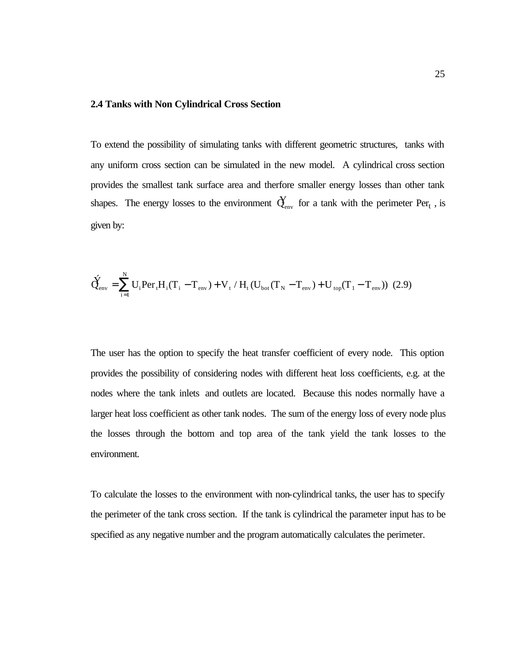#### **2.4 Tanks with Non Cylindrical Cross Section**

To extend the possibility of simulating tanks with different geometric structures, tanks with any uniform cross section can be simulated in the new model. A cylindrical cross section provides the smallest tank surface area and therfore smaller energy losses than other tank shapes. The energy losses to the environment  $\mathcal{C}_{\tiny env}$  for a tank with the perimeter Per<sub>t</sub>, is given by:

$$
\hat{Q}_{env}^{\prime} = \sum_{i=1}^{N} U_i \text{Per}_{t} H_i(T_i - T_{env}) + V_t / H_t (U_{bot}(T_N - T_{env}) + U_{top}(T_1 - T_{env})) \tag{2.9}
$$

The user has the option to specify the heat transfer coefficient of every node. This option provides the possibility of considering nodes with different heat loss coefficients, e.g. at the nodes where the tank inlets and outlets are located. Because this nodes normally have a larger heat loss coefficient as other tank nodes. The sum of the energy loss of every node plus the losses through the bottom and top area of the tank yield the tank losses to the environment.

To calculate the losses to the environment with non-cylindrical tanks, the user has to specify the perimeter of the tank cross section. If the tank is cylindrical the parameter input has to be specified as any negative number and the program automatically calculates the perimeter.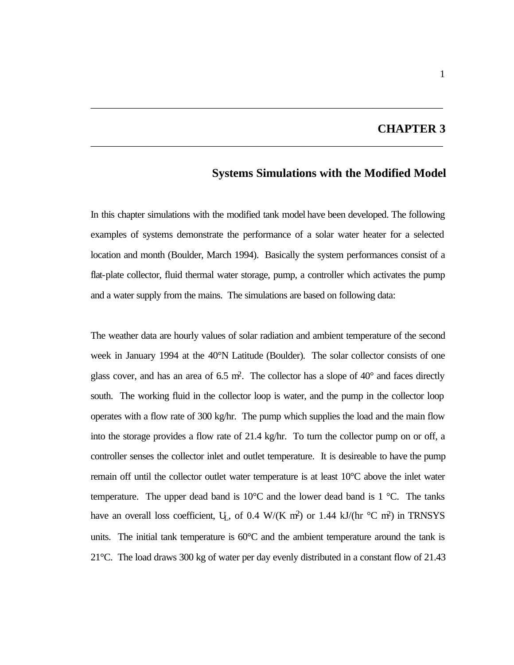# **CHAPTER 3**

## **Systems Simulations with the Modified Model**

In this chapter simulations with the modified tank model have been developed. The following examples of systems demonstrate the performance of a solar water heater for a selected location and month (Boulder, March 1994). Basically the system performances consist of a flat-plate collector, fluid thermal water storage, pump, a controller which activates the pump and a water supply from the mains. The simulations are based on following data:

\_\_\_\_\_\_\_\_\_\_\_\_\_\_\_\_\_\_\_\_\_\_\_\_\_\_\_\_\_\_\_\_\_\_\_\_\_\_\_\_\_\_\_\_\_\_\_\_\_\_\_\_\_\_\_\_\_\_\_\_\_\_\_\_\_\_\_\_\_\_

\_\_\_\_\_\_\_\_\_\_\_\_\_\_\_\_\_\_\_\_\_\_\_\_\_\_\_\_\_\_\_\_\_\_\_\_\_\_\_\_\_\_\_\_\_\_\_\_\_\_\_\_\_\_\_\_\_\_\_\_\_\_\_\_\_\_\_\_\_\_

The weather data are hourly values of solar radiation and ambient temperature of the second week in January 1994 at the 40°N Latitude (Boulder). The solar collector consists of one glass cover, and has an area of  $6.5 \text{ m}^2$ . The collector has a slope of  $40^\circ$  and faces directly south. The working fluid in the collector loop is water, and the pump in the collector loop operates with a flow rate of 300 kg/hr. The pump which supplies the load and the main flow into the storage provides a flow rate of 21.4 kg/hr. To turn the collector pump on or off, a controller senses the collector inlet and outlet temperature. It is desireable to have the pump remain off until the collector outlet water temperature is at least 10°C above the inlet water temperature. The upper dead band is  $10^{\circ}$ C and the lower dead band is 1  $^{\circ}$ C. The tanks have an overall loss coefficient,  $U_L$ , of 0.4 W/(K m<sup>2</sup>) or 1.44 kJ/(hr  $\degree$ C m<sup>2</sup>) in TRNSYS units. The initial tank temperature is 60°C and the ambient temperature around the tank is 21°C. The load draws 300 kg of water per day evenly distributed in a constant flow of 21.43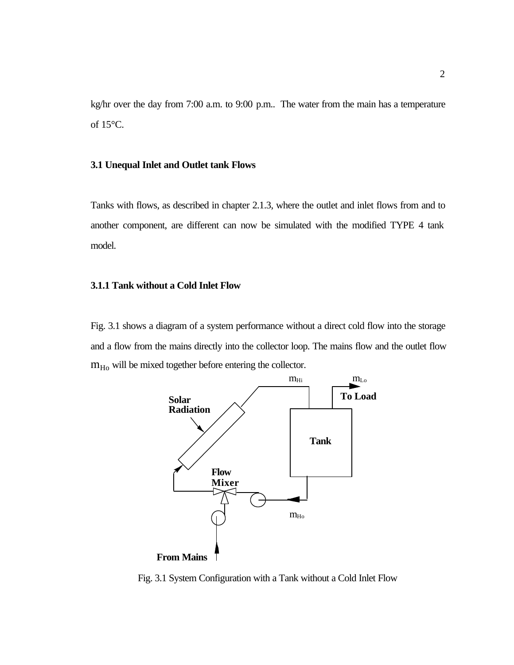kg/hr over the day from 7:00 a.m. to 9:00 p.m.. The water from the main has a temperature of 15°C.

### **3.1 Unequal Inlet and Outlet tank Flows**

Tanks with flows, as described in chapter 2.1.3, where the outlet and inlet flows from and to another component, are different can now be simulated with the modified TYPE 4 tank model.

## **3.1.1 Tank without a Cold Inlet Flow**

Fig. 3.1 shows a diagram of a system performance without a direct cold flow into the storage and a flow from the mains directly into the collector loop. The mains flow and the outlet flow  $m<sub>Ho</sub>$  will be mixed together before entering the collector.



Fig. 3.1 System Configuration with a Tank without a Cold Inlet Flow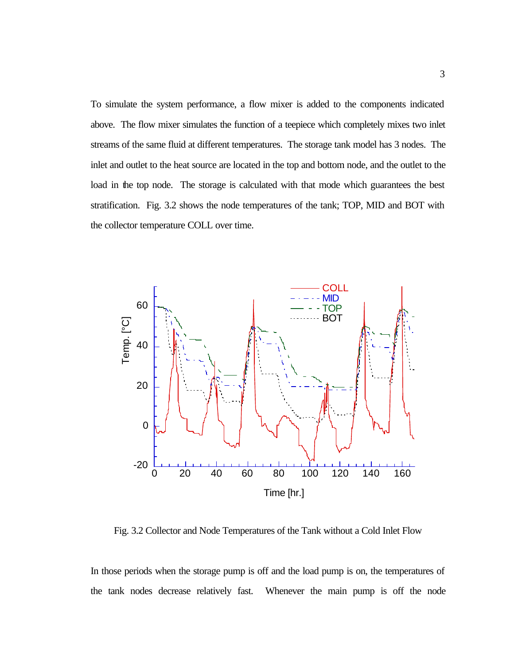To simulate the system performance, a flow mixer is added to the components indicated above. The flow mixer simulates the function of a teepiece which completely mixes two inlet streams of the same fluid at different temperatures. The storage tank model has 3 nodes. The inlet and outlet to the heat source are located in the top and bottom node, and the outlet to the load in the top node. The storage is calculated with that mode which guarantees the best stratification. Fig. 3.2 shows the node temperatures of the tank; TOP, MID and BOT with the collector temperature COLL over time.



Fig. 3.2 Collector and Node Temperatures of the Tank without a Cold Inlet Flow

In those periods when the storage pump is off and the load pump is on, the temperatures of the tank nodes decrease relatively fast. Whenever the main pump is off the node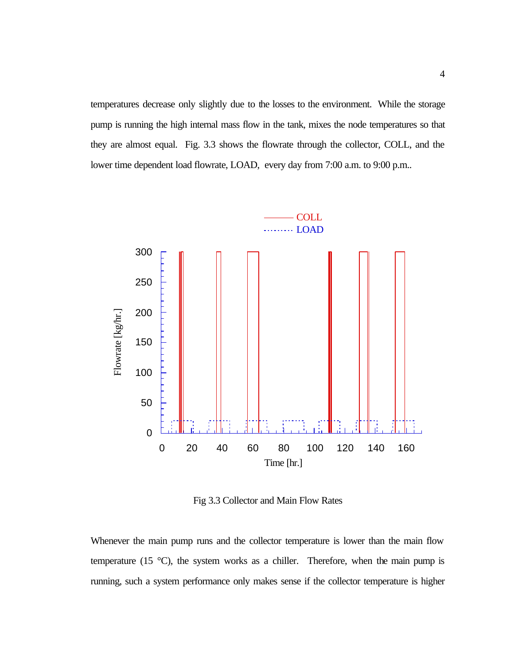temperatures decrease only slightly due to the losses to the environment. While the storage pump is running the high internal mass flow in the tank, mixes the node temperatures so that they are almost equal. Fig. 3.3 shows the flowrate through the collector, COLL, and the lower time dependent load flowrate, LOAD, every day from 7:00 a.m. to 9:00 p.m..



Fig 3.3 Collector and Main Flow Rates

Whenever the main pump runs and the collector temperature is lower than the main flow temperature (15  $^{\circ}$ C), the system works as a chiller. Therefore, when the main pump is running, such a system performance only makes sense if the collector temperature is higher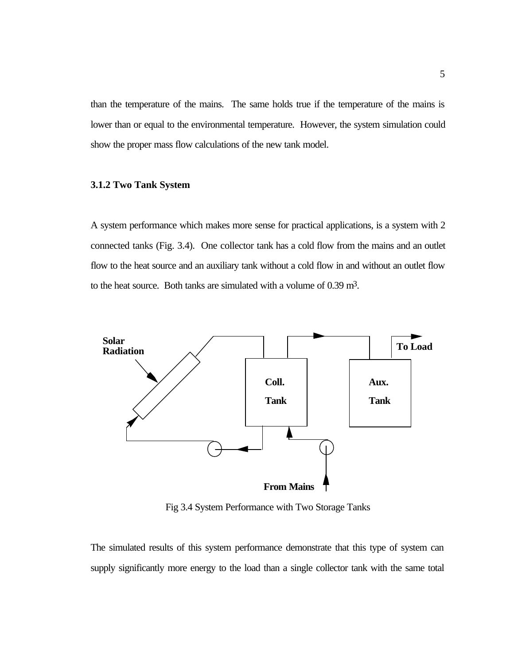than the temperature of the mains. The same holds true if the temperature of the mains is lower than or equal to the environmental temperature. However, the system simulation could show the proper mass flow calculations of the new tank model.

### **3.1.2 Two Tank System**

A system performance which makes more sense for practical applications, is a system with 2 connected tanks (Fig. 3.4). One collector tank has a cold flow from the mains and an outlet flow to the heat source and an auxiliary tank without a cold flow in and without an outlet flow to the heat source. Both tanks are simulated with a volume of  $0.39 \text{ m}^3$ .



Fig 3.4 System Performance with Two Storage Tanks

The simulated results of this system performance demonstrate that this type of system can supply significantly more energy to the load than a single collector tank with the same total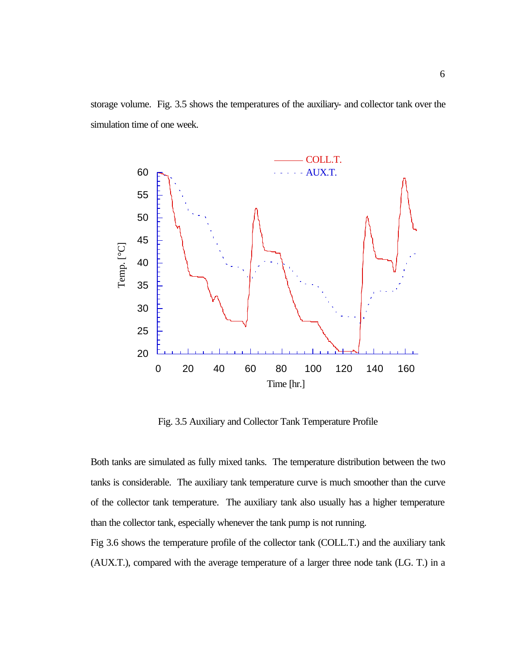storage volume. Fig. 3.5 shows the temperatures of the auxiliary- and collector tank over the simulation time of one week.



Fig. 3.5 Auxiliary and Collector Tank Temperature Profile

Both tanks are simulated as fully mixed tanks. The temperature distribution between the two tanks is considerable. The auxiliary tank temperature curve is much smoother than the curve of the collector tank temperature. The auxiliary tank also usually has a higher temperature than the collector tank, especially whenever the tank pump is not running.

Fig 3.6 shows the temperature profile of the collector tank (COLL.T.) and the auxiliary tank (AUX.T.), compared with the average temperature of a larger three node tank (LG. T.) in a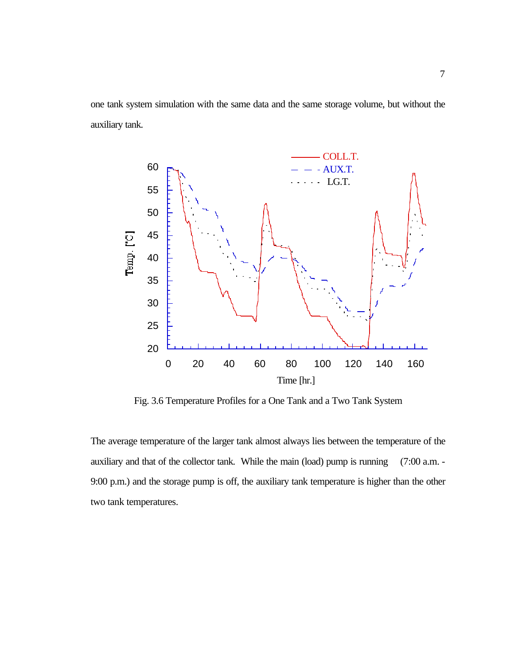one tank system simulation with the same data and the same storage volume, but without the auxiliary tank.



Fig. 3.6 Temperature Profiles for a One Tank and a Two Tank System

The average temperature of the larger tank almost always lies between the temperature of the auxiliary and that of the collector tank. While the main (load) pump is running (7:00 a.m. - 9:00 p.m.) and the storage pump is off, the auxiliary tank temperature is higher than the other two tank temperatures.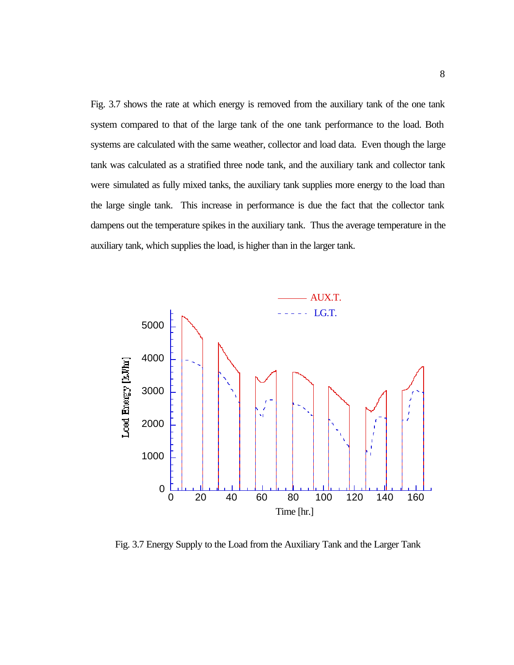Fig. 3.7 shows the rate at which energy is removed from the auxiliary tank of the one tank system compared to that of the large tank of the one tank performance to the load. Both systems are calculated with the same weather, collector and load data. Even though the large tank was calculated as a stratified three node tank, and the auxiliary tank and collector tank were simulated as fully mixed tanks, the auxiliary tank supplies more energy to the load than the large single tank. This increase in performance is due the fact that the collector tank dampens out the temperature spikes in the auxiliary tank. Thus the average temperature in the auxiliary tank, which supplies the load, is higher than in the larger tank.



Fig. 3.7 Energy Supply to the Load from the Auxiliary Tank and the Larger Tank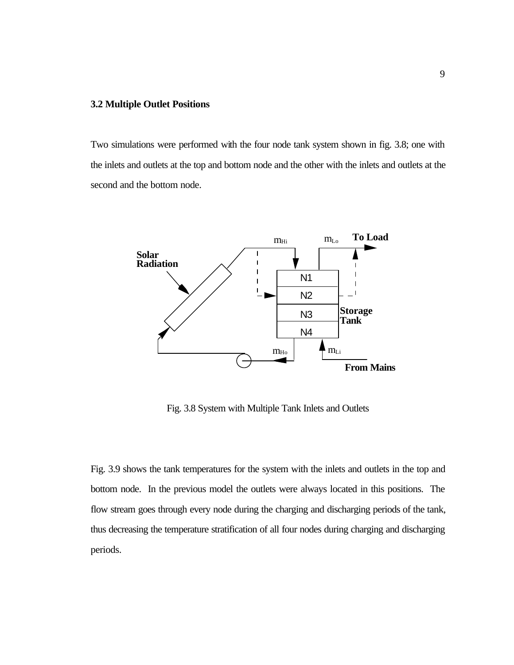### **3.2 Multiple Outlet Positions**

Two simulations were performed with the four node tank system shown in fig. 3.8; one with the inlets and outlets at the top and bottom node and the other with the inlets and outlets at the second and the bottom node.



Fig. 3.8 System with Multiple Tank Inlets and Outlets

Fig. 3.9 shows the tank temperatures for the system with the inlets and outlets in the top and bottom node. In the previous model the outlets were always located in this positions. The flow stream goes through every node during the charging and discharging periods of the tank, thus decreasing the temperature stratification of all four nodes during charging and discharging periods.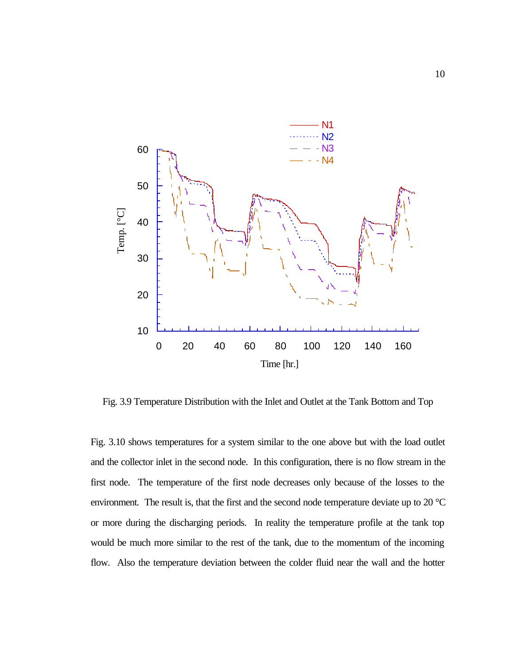

Fig. 3.9 Temperature Distribution with the Inlet and Outlet at the Tank Bottom and Top

Fig. 3.10 shows temperatures for a system similar to the one above but with the load outlet and the collector inlet in the second node. In this configuration, there is no flow stream in the first node. The temperature of the first node decreases only because of the losses to the environment. The result is, that the first and the second node temperature deviate up to 20 °C or more during the discharging periods. In reality the temperature profile at the tank top would be much more similar to the rest of the tank, due to the momentum of the incoming flow. Also the temperature deviation between the colder fluid near the wall and the hotter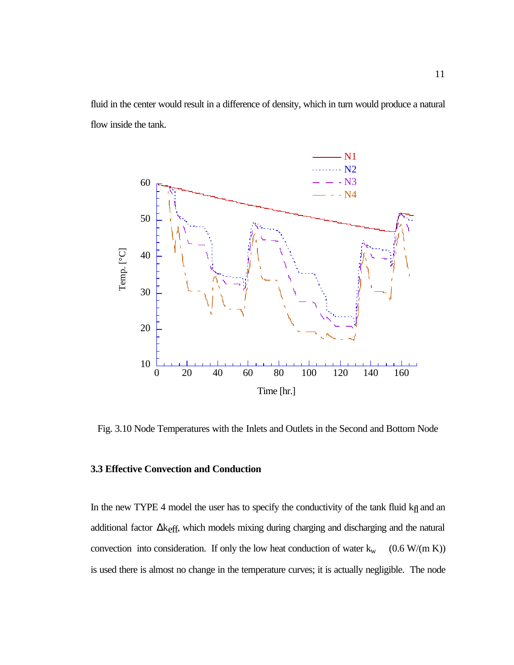fluid in the center would result in a difference of density, which in turn would produce a natural flow inside the tank.



Fig. 3.10 Node Temperatures with the Inlets and Outlets in the Second and Bottom Node

## **3.3 Effective Convection and Conduction**

In the new TYPE 4 model the user has to specify the conductivity of the tank fluid kfl and an additional factor Δkeff, which models mixing during charging and discharging and the natural convection into consideration. If only the low heat conduction of water  $k_w$  (0.6 W/(m K)) is used there is almost no change in the temperature curves; it is actually negligible. The node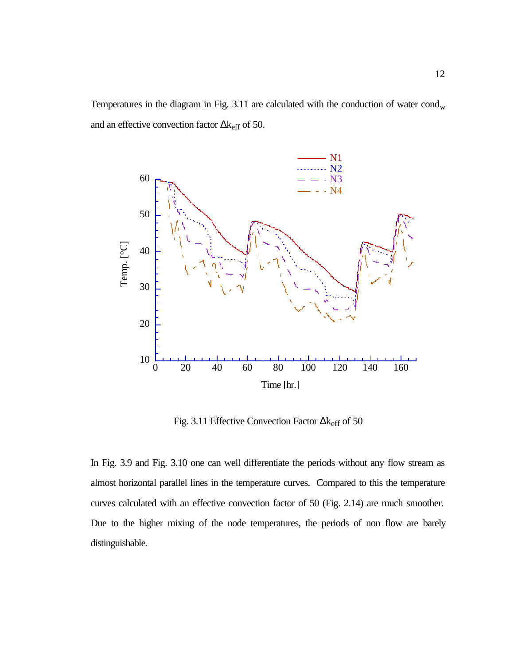Temperatures in the diagram in Fig. 3.11 are calculated with the conduction of water  $cond_w$ and an effective convection factor  $\Delta k_{eff}$  of 50.



Fig. 3.11 Effective Convection Factor Δkeff of 50

In Fig. 3.9 and Fig. 3.10 one can well differentiate the periods without any flow stream as almost horizontal parallel lines in the temperature curves. Compared to this the temperature curves calculated with an effective convection factor of 50 (Fig. 2.14) are much smoother. Due to the higher mixing of the node temperatures, the periods of non flow are barely distinguishable.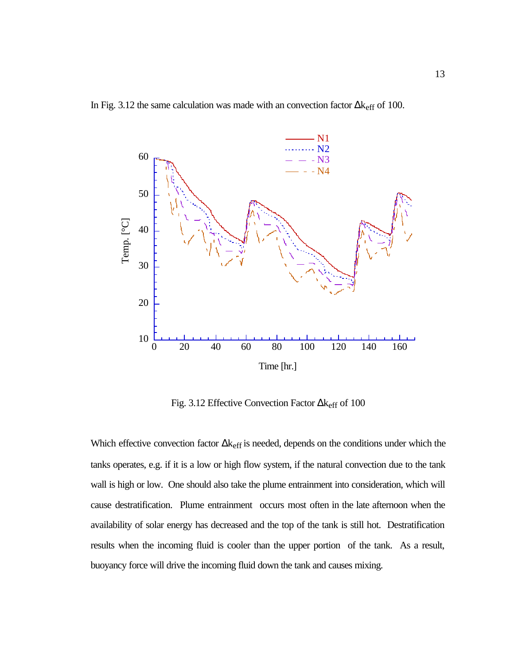In Fig. 3.12 the same calculation was made with an convection factor  $\Delta k_{\text{eff}}$  of 100.



Fig. 3.12 Effective Convection Factor Δkeff of 100

Which effective convection factor  $\Delta k_{eff}$  is needed, depends on the conditions under which the tanks operates, e.g. if it is a low or high flow system, if the natural convection due to the tank wall is high or low. One should also take the plume entrainment into consideration, which will cause destratification. Plume entrainment occurs most often in the late afternoon when the availability of solar energy has decreased and the top of the tank is still hot. Destratification results when the incoming fluid is cooler than the upper portion of the tank. As a result, buoyancy force will drive the incoming fluid down the tank and causes mixing.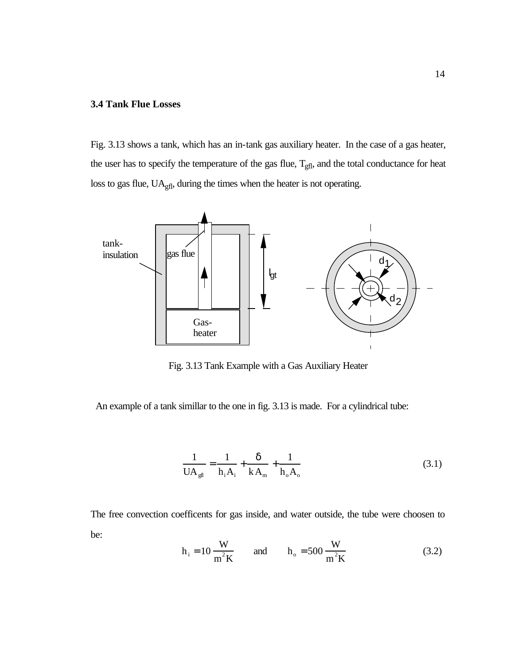#### **3.4 Tank Flue Losses**

Fig. 3.13 shows a tank, which has an in-tank gas auxiliary heater. In the case of a gas heater, the user has to specify the temperature of the gas flue,  $T_{\text{gfl}}$ , and the total conductance for heat loss to gas flue, UAgfl, during the times when the heater is not operating.



Fig. 3.13 Tank Example with a Gas Auxiliary Heater

An example of a tank simillar to the one in fig. 3.13 is made. For a cylindrical tube:

$$
\frac{1}{UA_{\text{gfl}}} = \frac{1}{h_i A_i} + \frac{\delta}{k A_m} + \frac{1}{h_o A_o}
$$
(3.1)

The free convection coefficents for gas inside, and water outside, the tube were choosen to be:

$$
h_i = 10 \frac{W}{m^2 K}
$$
 and  $h_o = 500 \frac{W}{m^2 K}$  (3.2)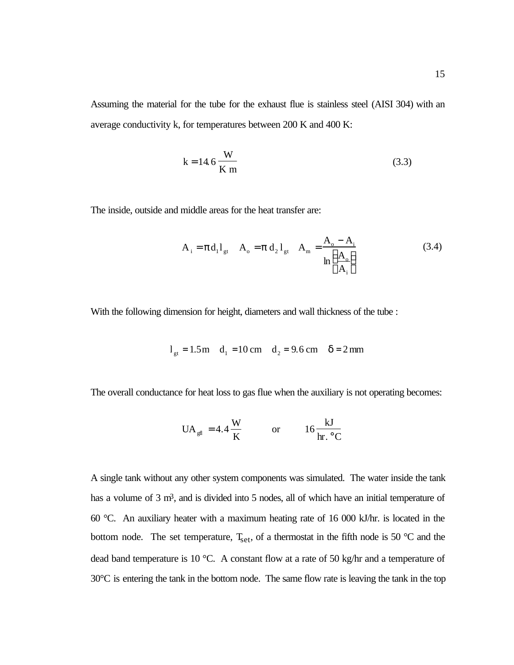Assuming the material for the tube for the exhaust flue is stainless steel (AISI 304) with an average conductivity k, for temperatures between 200 K and 400 K:

$$
k = 14.6 \frac{W}{K m}
$$
 (3.3)

The inside, outside and middle areas for the heat transfer are:

$$
A_{i} = \pi d_{1} l_{gt} \qquad A_{o} = \pi d_{2} l_{gt} \qquad A_{m} = \frac{A_{o} - A_{i}}{\ln\left(\frac{A_{o}}{A_{i}}\right)}
$$
(3.4)

With the following dimension for height, diameters and wall thickness of the tube :

$$
l_{gt} = 1.5 \text{m}
$$
  $d_1 = 10 \text{ cm}$   $d_2 = 9.6 \text{ cm}$   $\delta = 2 \text{ mm}$ 

The overall conductance for heat loss to gas flue when the auxiliary is not operating becomes:

$$
UA_{\text{gfl}} = 4.4 \frac{W}{K} \qquad \text{or} \qquad 16 \frac{kJ}{hr. \text{°C}}
$$

A single tank without any other system components was simulated. The water inside the tank has a volume of 3 m<sup>3</sup>, and is divided into 5 nodes, all of which have an initial temperature of 60 °C. An auxiliary heater with a maximum heating rate of 16 000 kJ/hr. is located in the bottom node. The set temperature,  $T_{\text{set}}$ , of a thermostat in the fifth node is 50 °C and the dead band temperature is 10 °C. A constant flow at a rate of 50 kg/hr and a temperature of 30°C is entering the tank in the bottom node. The same flow rate is leaving the tank in the top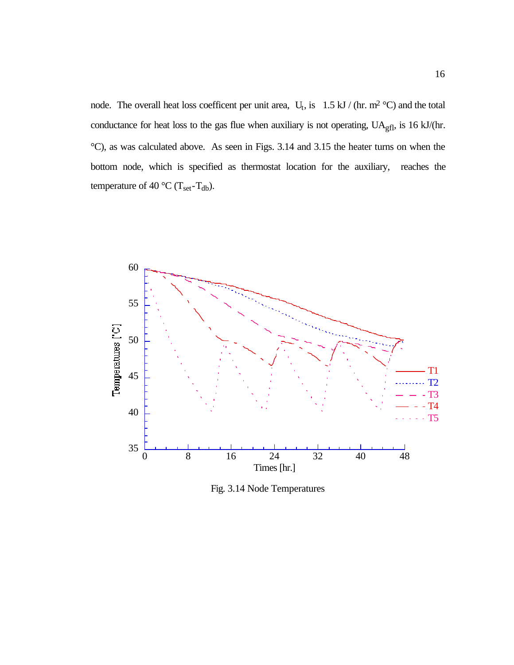node. The overall heat loss coefficent per unit area,  $U_t$ , is 1.5 kJ / (hr. m<sup>2</sup> °C) and the total conductance for heat loss to the gas flue when auxiliary is not operating, UA<sub>gfl</sub>, is 16 kJ/(hr. °C), as was calculated above. As seen in Figs. 3.14 and 3.15 the heater turns on when the bottom node, which is specified as thermostat location for the auxiliary, reaches the temperature of 40 °C ( $T_{set}$ - $T_{db}$ ).



Fig. 3.14 Node Temperatures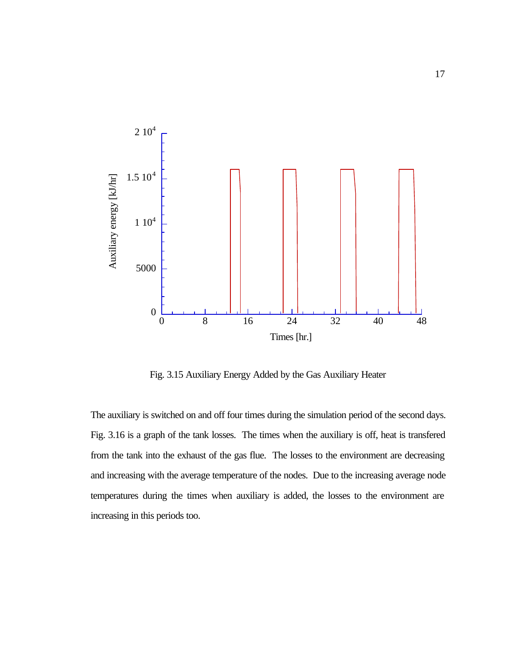

Fig. 3.15 Auxiliary Energy Added by the Gas Auxiliary Heater

The auxiliary is switched on and off four times during the simulation period of the second days. Fig. 3.16 is a graph of the tank losses. The times when the auxiliary is off, heat is transfered from the tank into the exhaust of the gas flue. The losses to the environment are decreasing and increasing with the average temperature of the nodes. Due to the increasing average node temperatures during the times when auxiliary is added, the losses to the environment are increasing in this periods too.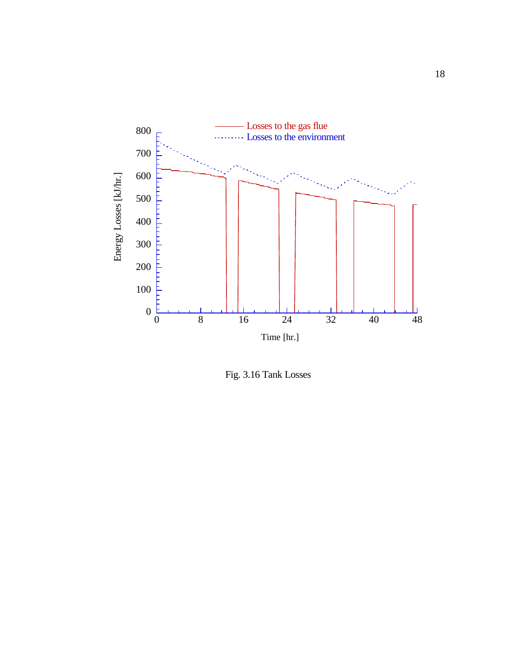

Fig. 3.16 Tank Losses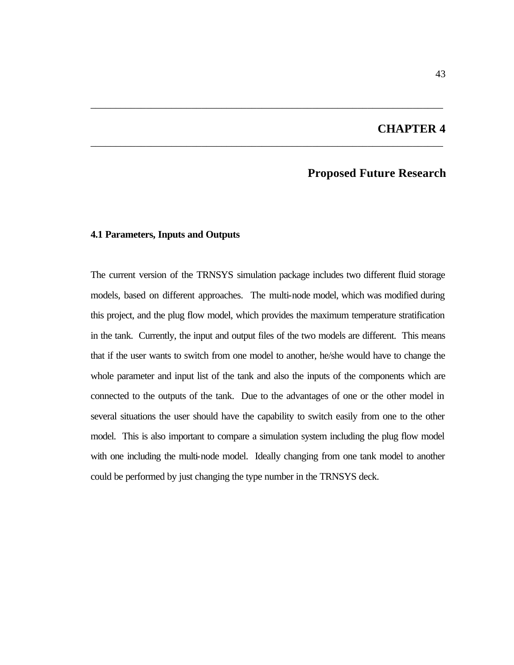## **CHAPTER 4**

# **Proposed Future Research**

### **4.1 Parameters, Inputs and Outputs**

The current version of the TRNSYS simulation package includes two different fluid storage models, based on different approaches. The multi-node model, which was modified during this project, and the plug flow model, which provides the maximum temperature stratification in the tank. Currently, the input and output files of the two models are different. This means that if the user wants to switch from one model to another, he/she would have to change the whole parameter and input list of the tank and also the inputs of the components which are connected to the outputs of the tank. Due to the advantages of one or the other model in several situations the user should have the capability to switch easily from one to the other model. This is also important to compare a simulation system including the plug flow model with one including the multi-node model. Ideally changing from one tank model to another could be performed by just changing the type number in the TRNSYS deck.

\_\_\_\_\_\_\_\_\_\_\_\_\_\_\_\_\_\_\_\_\_\_\_\_\_\_\_\_\_\_\_\_\_\_\_\_\_\_\_\_\_\_\_\_\_\_\_\_\_\_\_\_\_\_\_\_\_\_\_\_\_\_\_\_\_\_\_\_\_\_

\_\_\_\_\_\_\_\_\_\_\_\_\_\_\_\_\_\_\_\_\_\_\_\_\_\_\_\_\_\_\_\_\_\_\_\_\_\_\_\_\_\_\_\_\_\_\_\_\_\_\_\_\_\_\_\_\_\_\_\_\_\_\_\_\_\_\_\_\_\_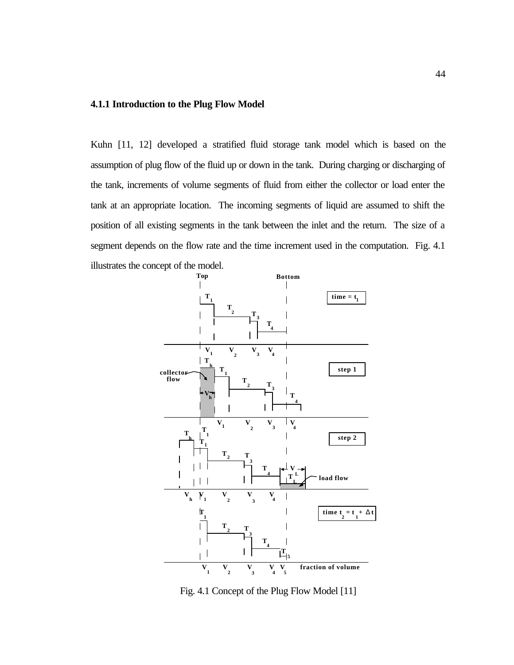### **4.1.1 Introduction to the Plug Flow Model**

Kuhn [11, 12] developed a stratified fluid storage tank model which is based on the assumption of plug flow of the fluid up or down in the tank. During charging or discharging of the tank, increments of volume segments of fluid from either the collector or load enter the tank at an appropriate location. The incoming segments of liquid are assumed to shift the position of all existing segments in the tank between the inlet and the return. The size of a segment depends on the flow rate and the time increment used in the computation. Fig. 4.1 illustrates the concept of the model.



Fig. 4.1 Concept of the Plug Flow Model [11]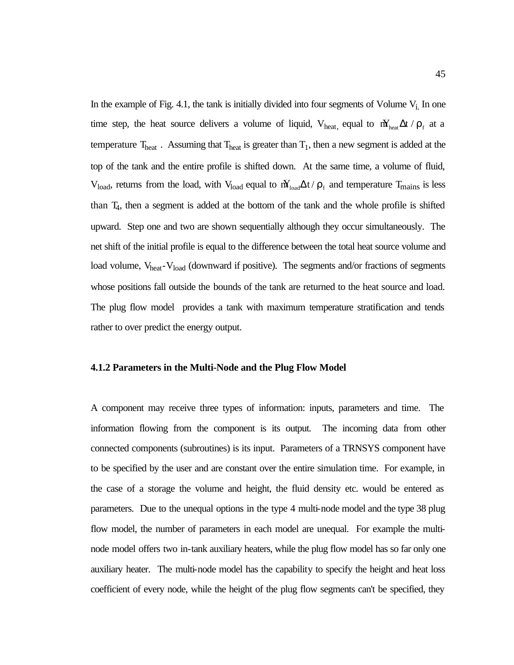In the example of Fig. 4.1, the tank is initially divided into four segments of Volume  $V_i$ . In one time step, the heat source delivers a volume of liquid,  $V_{heat}$ , equal to  $\dot{M}_{heat}\Delta t / \rho_f$  at a temperature  $T_{heat}$ . Assuming that  $T_{heat}$  is greater than  $T_1$ , then a new segment is added at the top of the tank and the entire profile is shifted down. At the same time, a volume of fluid,  $V_{load}$ , returns from the load, with  $V_{load}$  equal to  $\dot{M}_{load}\Delta t / \rho_f$  and temperature  $T_{mains}$  is less than T4, then a segment is added at the bottom of the tank and the whole profile is shifted upward. Step one and two are shown sequentially although they occur simultaneously. The net shift of the initial profile is equal to the difference between the total heat source volume and load volume,  $V_{\text{heat}} - V_{\text{load}}$  (downward if positive). The segments and/or fractions of segments whose positions fall outside the bounds of the tank are returned to the heat source and load. The plug flow model provides a tank with maximum temperature stratification and tends rather to over predict the energy output.

#### **4.1.2 Parameters in the Multi-Node and the Plug Flow Model**

A component may receive three types of information: inputs, parameters and time. The information flowing from the component is its output. The incoming data from other connected components (subroutines) is its input. Parameters of a TRNSYS component have to be specified by the user and are constant over the entire simulation time. For example, in the case of a storage the volume and height, the fluid density etc. would be entered as parameters. Due to the unequal options in the type 4 multi-node model and the type 38 plug flow model, the number of parameters in each model are unequal. For example the multinode model offers two in-tank auxiliary heaters, while the plug flow model has so far only one auxiliary heater. The multi-node model has the capability to specify the height and heat loss coefficient of every node, while the height of the plug flow segments can't be specified, they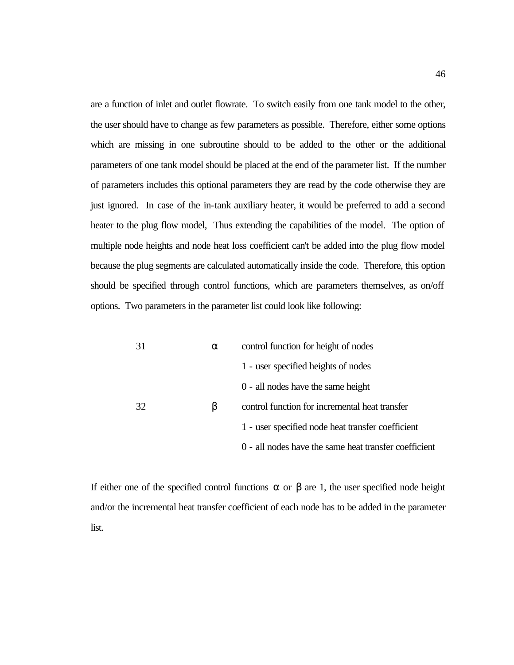are a function of inlet and outlet flowrate. To switch easily from one tank model to the other, the user should have to change as few parameters as possible. Therefore, either some options which are missing in one subroutine should to be added to the other or the additional parameters of one tank model should be placed at the end of the parameter list. If the number of parameters includes this optional parameters they are read by the code otherwise they are just ignored. In case of the in-tank auxiliary heater, it would be preferred to add a second heater to the plug flow model, Thus extending the capabilities of the model. The option of multiple node heights and node heat loss coefficient can't be added into the plug flow model because the plug segments are calculated automatically inside the code. Therefore, this option should be specified through control functions, which are parameters themselves, as on/off options. Two parameters in the parameter list could look like following:

| 31 | α | control function for height of nodes                  |
|----|---|-------------------------------------------------------|
|    |   | 1 - user specified heights of nodes                   |
|    |   | 0 - all nodes have the same height                    |
| 32 | β | control function for incremental heat transfer        |
|    |   | 1 - user specified node heat transfer coefficient     |
|    |   | 0 - all nodes have the same heat transfer coefficient |

If either one of the specified control functions  $\alpha$  or  $\beta$  are 1, the user specified node height and/or the incremental heat transfer coefficient of each node has to be added in the parameter list.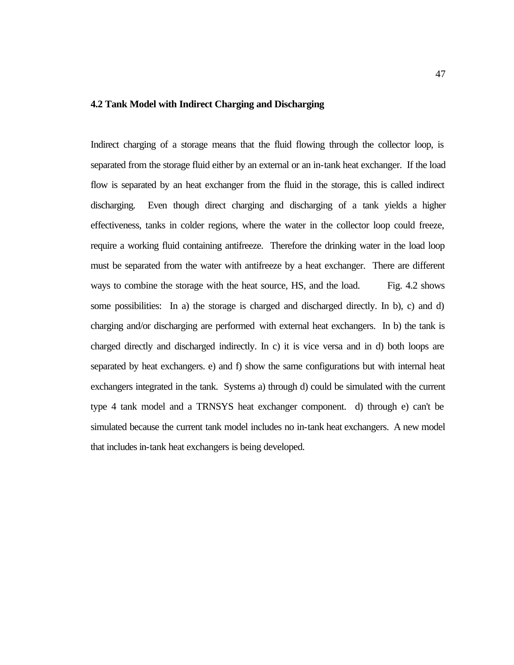#### **4.2 Tank Model with Indirect Charging and Discharging**

Indirect charging of a storage means that the fluid flowing through the collector loop, is separated from the storage fluid either by an external or an in-tank heat exchanger. If the load flow is separated by an heat exchanger from the fluid in the storage, this is called indirect discharging. Even though direct charging and discharging of a tank yields a higher effectiveness, tanks in colder regions, where the water in the collector loop could freeze, require a working fluid containing antifreeze. Therefore the drinking water in the load loop must be separated from the water with antifreeze by a heat exchanger. There are different ways to combine the storage with the heat source, HS, and the load. Fig. 4.2 shows some possibilities: In a) the storage is charged and discharged directly. In b), c) and d) charging and/or discharging are performed with external heat exchangers. In b) the tank is charged directly and discharged indirectly. In c) it is vice versa and in d) both loops are separated by heat exchangers. e) and f) show the same configurations but with internal heat exchangers integrated in the tank. Systems a) through d) could be simulated with the current type 4 tank model and a TRNSYS heat exchanger component. d) through e) can't be simulated because the current tank model includes no in-tank heat exchangers. A new model that includes in-tank heat exchangers is being developed.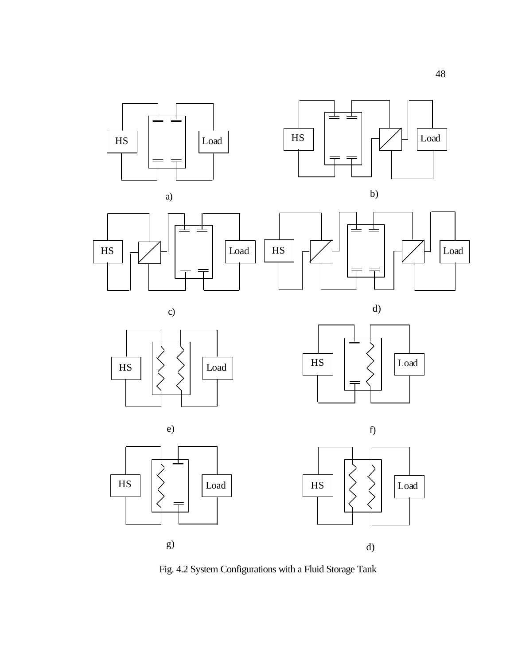





c)









Fig. 4.2 System Configurations with a Fluid Storage Tank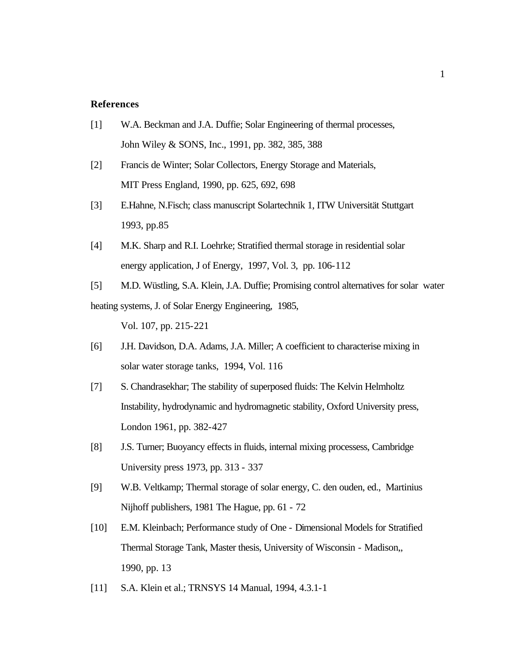### **References**

- [1] W.A. Beckman and J.A. Duffie; Solar Engineering of thermal processes, John Wiley & SONS, Inc., 1991, pp. 382, 385, 388
- [2] Francis de Winter; Solar Collectors, Energy Storage and Materials, MIT Press England, 1990, pp. 625, 692, 698
- [3] E.Hahne, N.Fisch; class manuscript Solartechnik 1, ITW Universität Stuttgart 1993, pp.85
- [4] M.K. Sharp and R.I. Loehrke; Stratified thermal storage in residential solar energy application, J of Energy, 1997, Vol. 3, pp. 106-112
- [5] M.D. Wüstling, S.A. Klein, J.A. Duffie; Promising control alternatives for solar water heating systems, J. of Solar Energy Engineering, 1985,

Vol. 107, pp. 215-221

- [6] J.H. Davidson, D.A. Adams, J.A. Miller; A coefficient to characterise mixing in solar water storage tanks, 1994, Vol. 116
- [7] S. Chandrasekhar; The stability of superposed fluids: The Kelvin Helmholtz Instability, hydrodynamic and hydromagnetic stability, Oxford University press, London 1961, pp. 382-427
- [8] J.S. Turner; Buoyancy effects in fluids, internal mixing processess, Cambridge University press 1973, pp. 313 - 337
- [9] W.B. Veltkamp; Thermal storage of solar energy, C. den ouden, ed., Martinius Nijhoff publishers, 1981 The Hague, pp. 61 - 72
- [10] E.M. Kleinbach; Performance study of One Dimensional Models for Stratified Thermal Storage Tank, Master thesis, University of Wisconsin - Madison,, 1990, pp. 13
- [11] S.A. Klein et al.; TRNSYS 14 Manual, 1994, 4.3.1-1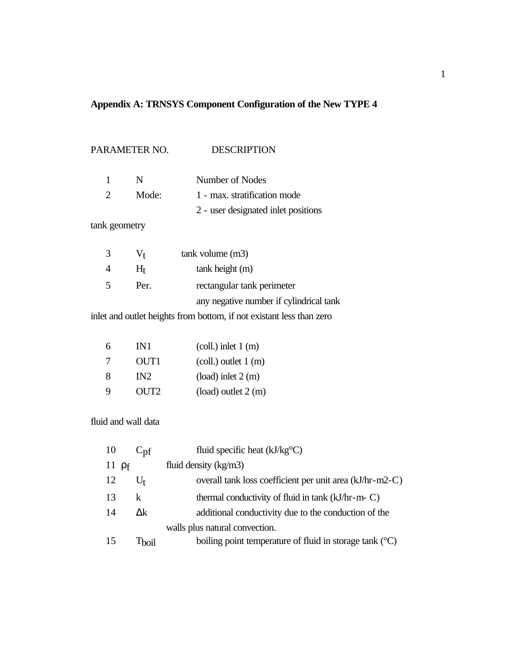# **Appendix A: TRNSYS Component Configuration of the New TYPE 4**

# PARAMETER NO. DESCRIPTION

|               | N.    | Number of Nodes                     |
|---------------|-------|-------------------------------------|
| $\mathcal{D}$ | Mode: | 1 - max. stratification mode        |
|               |       | 2 - user designated inlet positions |

tank geometry

| 3 | $V_{t}$     | $tank$ volume $(m3)$                    |
|---|-------------|-----------------------------------------|
| 4 | $\rm H_{f}$ | tank height (m)                         |
| 5 | Per.        | rectangular tank perimeter              |
|   |             | any negative number if cylindrical tank |

inlet and outlet heights from bottom, if not existant less than zero

| 6  | IN1          | $\left(\text{coll.}\right)$ inlet 1 $\left(\text{m}\right)$  |
|----|--------------|--------------------------------------------------------------|
| 7  | OUT1         | $\left(\text{coll.}\right)$ outlet 1 $\left(\text{m}\right)$ |
| -8 | IN2          | $\lambda$ (load) inlet 2 (m)                                 |
| -9 | $\Omega$ IT2 | $\lambda$ (load) outlet 2 (m)                                |

fluid and wall data

| 10 | $C_{pf}$    | fluid specific heat $(kJ/kg^{\circ}C)$                             |
|----|-------------|--------------------------------------------------------------------|
|    | 11 $\rho$ f | fluid density $(kg/m3)$                                            |
| 12 | Ut          | overall tank loss coefficient per unit area (kJ/hr-m2-C)           |
| 13 | k           | thermal conductivity of fluid in tank (kJ/hr-m- C)                 |
| 14 | $\Delta k$  | additional conductivity due to the conduction of the               |
|    |             | walls plus natural convection.                                     |
| 15 | Thoil       | boiling point temperature of fluid in storage tank $({}^{\circ}C)$ |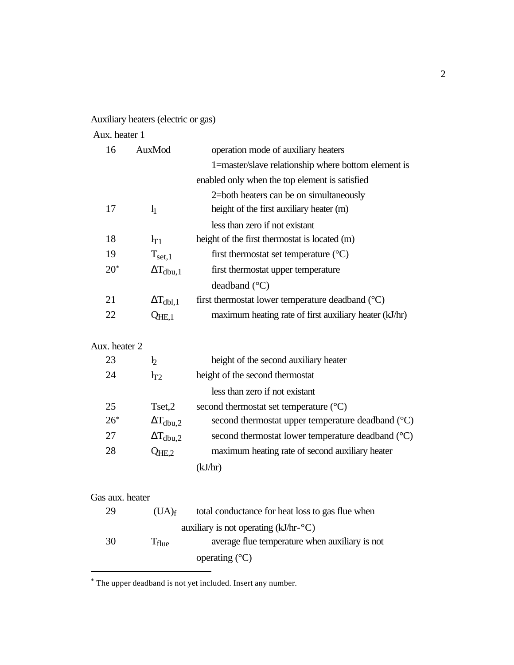# Auxiliary heaters (electric or gas)

# Aux. heater 1

| 16     | AuxMod               | operation mode of auxiliary heaters                    |
|--------|----------------------|--------------------------------------------------------|
|        |                      | 1=master/slave relationship where bottom element is    |
|        |                      | enabled only when the top element is satisfied         |
|        |                      | 2=both heaters can be on simultaneously                |
| 17     | $l_1$                | height of the first auxiliary heater (m)               |
|        |                      | less than zero if not existant                         |
| 18     | $1_{T1}$             | height of the first thermostat is located (m)          |
| 19     | $T_{\rm set,1}$      | first thermostat set temperature $(^{\circ}C)$         |
| $20^*$ | $\Delta T_{dbu,1}$   | first thermostat upper temperature                     |
|        |                      | deadband $(^{\circ}C)$                                 |
| 21     | $\Delta T_{dbl,1}$   | first thermostat lower temperature deadband $(°C)$     |
| 22     | $\lambda_{\rm HE,1}$ | maximum heating rate of first auxiliary heater (kJ/hr) |

## Aux. heater 2

| 23    | $\mathbf{b}$        | height of the second auxiliary heater             |
|-------|---------------------|---------------------------------------------------|
| 24    | $h_{\Gamma2}$       | height of the second thermostat                   |
|       |                     | less than zero if not existant                    |
| 25    | Tset,2              | second thermostat set temperature $(^{\circ}C)$   |
| $26*$ | $\Delta T_{dbu,2}$  | second thermostat upper temperature deadband (°C) |
| 27    | $\Delta T_{dbu,2}$  | second thermostat lower temperature deadband (°C) |
| 28    | $Q_{\mathrm{HE},2}$ | maximum heating rate of second auxiliary heater   |
|       |                     | (kJ/hr                                            |

# Gas aux. heater

 $\overline{a}$ 

| 29 | (UA) <sub>f</sub> | total conductance for heat loss to gas flue when |
|----|-------------------|--------------------------------------------------|
|    |                   | auxiliary is not operating $(kJ/hr - C)$         |
| 30 | $T_{\rm flue}$    | average flue temperature when auxiliary is not   |
|    |                   | operating $(^{\circ}C)$                          |

<sup>\*</sup> The upper deadband is not yet included. Insert any number.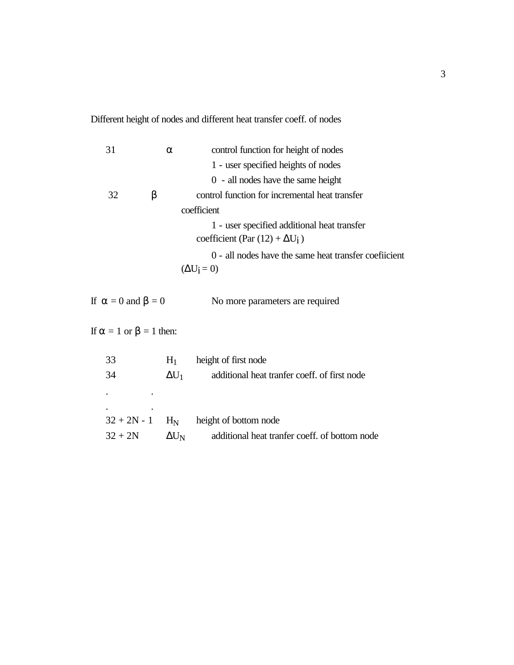Different height of nodes and different heat transfer coeff. of nodes

| 31                                   | $\alpha$     | control function for height of nodes                                                  |
|--------------------------------------|--------------|---------------------------------------------------------------------------------------|
|                                      |              | 1 - user specified heights of nodes                                                   |
|                                      |              | $0 -$ all nodes have the same height                                                  |
| 32                                   | β            | control function for incremental heat transfer                                        |
|                                      |              | coefficient                                                                           |
|                                      |              | 1 - user specified additional heat transfer<br>coefficient (Par $(12) + \Delta U_i$ ) |
|                                      |              | 0 - all nodes have the same heat transfer coefficient                                 |
|                                      |              | $(\Delta U_i = 0)$                                                                    |
| If $\alpha = 0$ and $\beta = 0$      |              | No more parameters are required                                                       |
| If $\alpha = 1$ or $\beta = 1$ then: |              |                                                                                       |
| 33                                   | $H_1$        | height of first node                                                                  |
| 34                                   | $\Delta U_1$ | additional heat tranfer coeff. of first node                                          |
|                                      |              |                                                                                       |
|                                      |              |                                                                                       |
| $32 + 2N - 1$                        |              | $H_N$ height of bottom node                                                           |
| $32 + 2N$                            | $\Delta U_N$ | additional heat tranfer coeff. of bottom node                                         |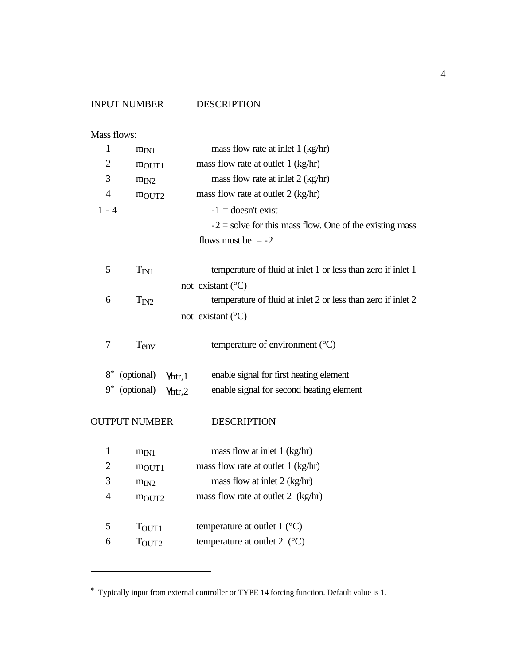## INPUT NUMBER DESCRIPTION

```
Mass flows:
```
 $\overline{a}$ 

| $\mathbf{1}$   | m <sub>IN1</sub>              | mass flow rate at inlet $1$ (kg/hr)                          |
|----------------|-------------------------------|--------------------------------------------------------------|
| $\overline{c}$ | $m_{OUT1}$                    | mass flow rate at outlet 1 (kg/hr)                           |
| 3              | m <sub>IN2</sub>              | mass flow rate at inlet $2$ (kg/hr)                          |
| $\overline{4}$ | m <sub>OUT2</sub>             | mass flow rate at outlet 2 (kg/hr)                           |
| $1 - 4$        |                               | $-1 =$ doesn't exist                                         |
|                |                               | $-2$ = solve for this mass flow. One of the existing mass    |
|                |                               | flows must be $= -2$                                         |
| 5              | $T_{IN1}$                     | temperature of fluid at inlet 1 or less than zero if inlet 1 |
|                |                               | not existant $(^{\circ}C)$                                   |
| 6              | $T_{IN2}$                     | temperature of fluid at inlet 2 or less than zero if inlet 2 |
|                |                               | not existant $({}^{\circ}C)$                                 |
| 7              | Teny                          | temperature of environment $(°C)$                            |
| $8^*$          | (optional)<br>$\gamma$ htr, 1 | enable signal for first heating element                      |
| $9^*$          | (optional)<br>$Y$ htr, $2$    | enable signal for second heating element                     |
|                | <b>OUTPUT NUMBER</b>          | <b>DESCRIPTION</b>                                           |
| $\mathbf{1}$   | m <sub>IN1</sub>              | mass flow at inlet $1$ (kg/hr)                               |
| $\overline{c}$ | m <sub>OUT1</sub>             | mass flow rate at outlet 1 (kg/hr)                           |
| 3              | m <sub>IN2</sub>              | mass flow at inlet $2$ (kg/hr)                               |
| $\overline{4}$ | m <sub>OUT2</sub>             | mass flow rate at outlet 2 (kg/hr)                           |
|                |                               |                                                              |

 $5 \qquad \text{T}_{\text{OUT1}} \qquad \text{temperature at outlet 1 (°C)}$ 6  $T_{OUT2}$  temperature at outlet 2  $°C)$ 

<sup>\*</sup> Typically input from external controller or TYPE 14 forcing function. Default value is 1.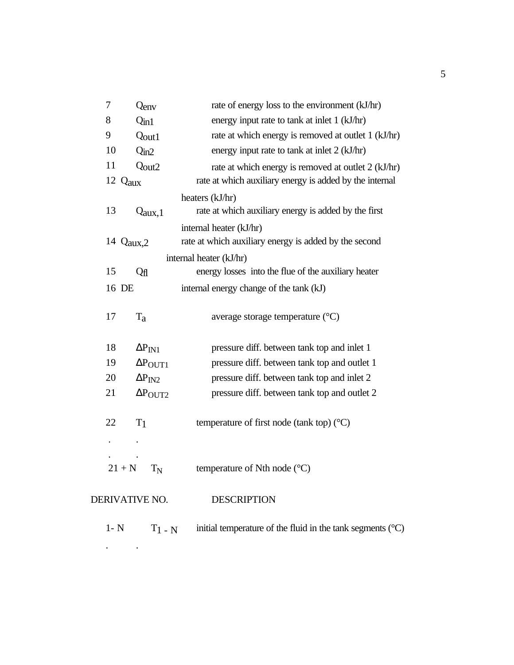| 7          | Qeny               | rate of energy loss to the environment (kJ/hr)               |
|------------|--------------------|--------------------------------------------------------------|
| 8          | $Q_{in1}$          | energy input rate to tank at inlet 1 (kJ/hr)                 |
| 9          | Qout1              | rate at which energy is removed at outlet 1 (kJ/hr)          |
| 10         | $Q_{in2}$          | energy input rate to tank at inlet 2 (kJ/hr)                 |
| 11         | Qu <sub>t2</sub>   | rate at which energy is removed at outlet 2 (kJ/hr)          |
| 12 Qaux    |                    | rate at which auxiliary energy is added by the internal      |
|            |                    | heaters (kJ/hr)                                              |
| 13         | $Q_{\text{aux},1}$ | rate at which auxiliary energy is added by the first         |
|            |                    | internal heater (kJ/hr)                                      |
| 14 Qaux, 2 |                    | rate at which auxiliary energy is added by the second        |
|            |                    | internal heater (kJ/hr)                                      |
| 15         | Qfl                | energy losses into the flue of the auxiliary heater          |
| 16 DE      |                    | internal energy change of the tank (kJ)                      |
| 17         | $T_a$              | average storage temperature $(^{\circ}C)$                    |
|            |                    |                                                              |
| 18         | $\Delta P_{IN1}$   | pressure diff. between tank top and inlet 1                  |
| 19         | $\Delta P_{OUT1}$  | pressure diff. between tank top and outlet 1                 |
| 20         | $\Delta P_{IN2}$   | pressure diff. between tank top and inlet 2                  |
| 21         | $\Delta P_{OUT2}$  | pressure diff. between tank top and outlet 2                 |
| 22         | T <sub>1</sub>     | temperature of first node (tank top) $(°C)$                  |
|            |                    |                                                              |
|            |                    |                                                              |
| $21 + N$   | $T_N$              | temperature of Nth node $(^{\circ}C)$                        |
|            | DERIVATIVE NO.     | <b>DESCRIPTION</b>                                           |
|            |                    |                                                              |
| $1 - N$    | $T_1$ - $N$        | initial temperature of the fluid in the tank segments $(°C)$ |

. .

5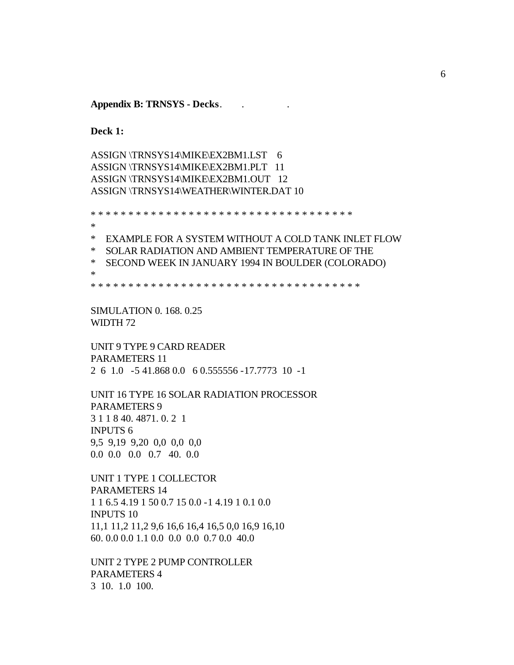**Appendix B: TRNSYS - Decks**. . .

**Deck 1:**

ASSIGN \TRNSYS14\MIKE\EX2BM1.LST 6 ASSIGN \TRNSYS14\MIKE\EX2BM1.PLT 11 ASSIGN \TRNSYS14\MIKE\EX2BM1.OUT 12 ASSIGN \TRNSYS14\WEATHER\WINTER.DAT 10

\* \* \* \* \* \* \* \* \* \* \* \* \* \* \* \* \* \* \* \* \* \* \* \* \* \* \* \* \* \* \* \* \* \* \* \* \* EXAMPLE FOR A SYSTEM WITHOUT A COLD TANK INLET FLOW \* SOLAR RADIATION AND AMBIENT TEMPERATURE OF THE \* SECOND WEEK IN JANUARY 1994 IN BOULDER (COLORADO) \* \* \* \* \* \* \* \* \* \* \* \* \* \* \* \* \* \* \* \* \* \* \* \* \* \* \* \* \* \* \* \* \* \* \* \* \*

SIMULATION 0. 168. 0.25 WIDTH 72

UNIT 9 TYPE 9 CARD READER PARAMETERS 11 2 6 1.0 -5 41.868 0.0 6 0.555556 -17.7773 10 -1

UNIT 16 TYPE 16 SOLAR RADIATION PROCESSOR PARAMETERS 9 3 1 1 8 40. 4871. 0. 2 1 INPUTS 6 9,5 9,19 9,20 0,0 0,0 0,0 0.0 0.0 0.0 0.7 40. 0.0

UNIT 1 TYPE 1 COLLECTOR PARAMETERS 14 1 1 6.5 4.19 1 50 0.7 15 0.0 -1 4.19 1 0.1 0.0 INPUTS 10 11,1 11,2 11,2 9,6 16,6 16,4 16,5 0,0 16,9 16,10 60. 0.0 0.0 1.1 0.0 0.0 0.0 0.7 0.0 40.0

UNIT 2 TYPE 2 PUMP CONTROLLER PARAMETERS 4 3 10. 1.0 100.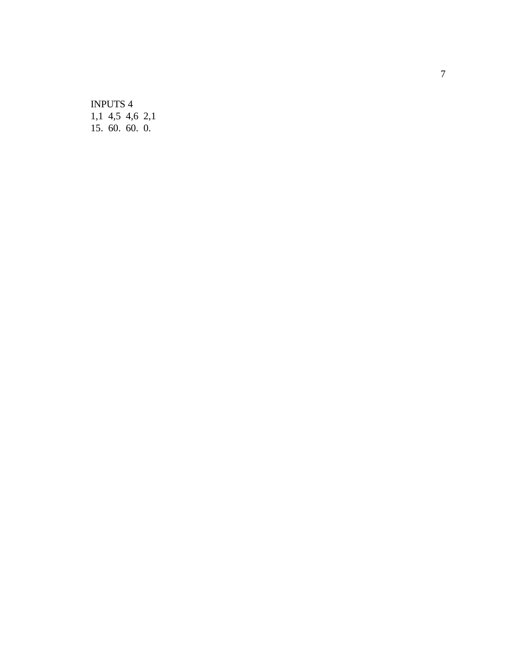INPUTS 4 1,1 4,5 4,6 2,1 15. 60. 60. 0.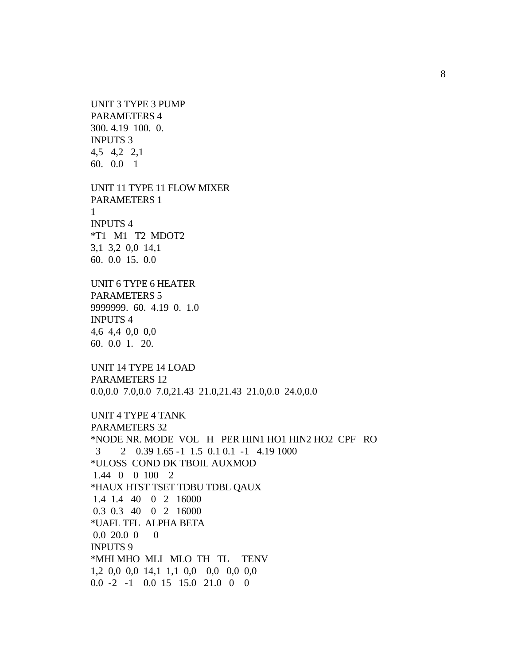```
UNIT 3 TYPE 3 PUMP
PARAMETERS 4
300. 4.19 100. 0.
INPUTS 3
4,5 4,2 2,1
60. 0.0 1
```

```
UNIT 11 TYPE 11 FLOW MIXER
PARAMETERS 1
1 
INPUTS 4
*T1 M1 T2 MDOT2
3,1 3,2 0,0 14,1
60. 0.0 15. 0.0
```

```
UNIT 6 TYPE 6 HEATER
PARAMETERS 5
9999999. 60. 4.19 0. 1.0
INPUTS 4
4,6 4,4 0,0 0,0
60. 0.0 1. 20.
```

```
UNIT 14 TYPE 14 LOAD
PARAMETERS 12
0.0,0.0 7.0,0.0 7.0,21.43 21.0,21.43 21.0,0.0 24.0,0.0
```

```
UNIT 4 TYPE 4 TANK
PARAMETERS 32
*NODE NR. MODE VOL H PER HIN1 HO1 HIN2 HO2 CPF RO
 3 2 0.39 1.65 -1 1.5 0.1 0.1 -1 4.19 1000
*ULOSS COND DK TBOIL AUXMOD
 1.44 0 0 100 2 
*HAUX HTST TSET TDBU TDBL QAUX
 1.4 1.4 40 0 2 16000
 0.3 0.3 40 0 2 16000
*UAFL TFL ALPHA BETA
0.0 20.0 0 0INPUTS 9
*MHI MHO MLI MLO TH TL TENV
1,2 0,0 0,0 14,1 1,1 0,0 0,0 0,0 0,0 
0.0 -2 -1 0.0 15 15.0 21.0 0 0
```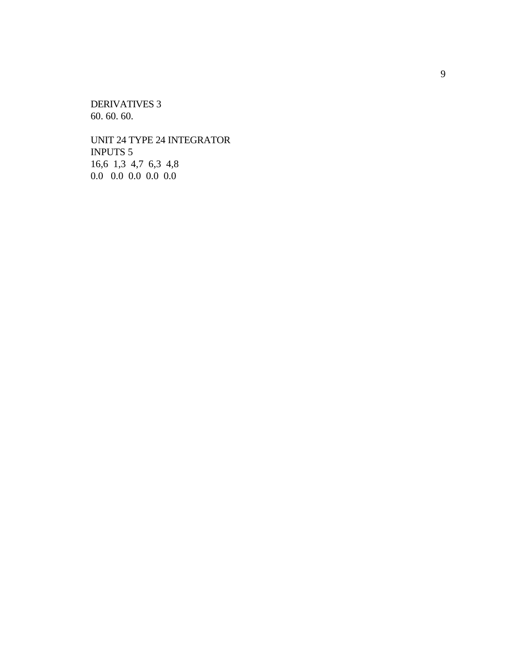DERIVATIVES 3 60. 60. 60.

UNIT 24 TYPE 24 INTEGRATOR INPUTS 5 16,6 1,3 4,7 6,3 4,8 0.0 0.0 0.0 0.0 0.0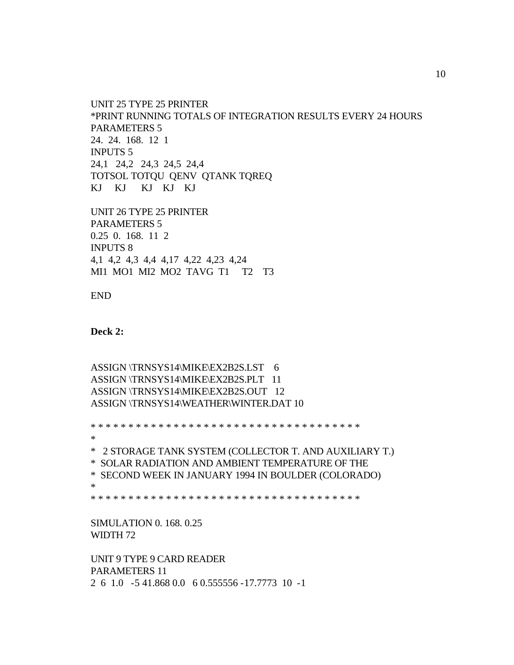UNIT 25 TYPE 25 PRINTER \*PRINT RUNNING TOTALS OF INTEGRATION RESULTS EVERY 24 HOURS PARAMETERS 5 24. 24. 168. 12 1 INPUTS 5 24,1 24,2 24,3 24,5 24,4 TOTSOL TOTQU QENV QTANK TQREQ KJ KJ KJ KJ KJ

UNIT 26 TYPE 25 PRINTER PARAMETERS 5 0.25 0. 168. 11 2 INPUTS 8 4,1 4,2 4,3 4,4 4,17 4,22 4,23 4,24 MI1 MO1 MI2 MO2 TAVG T1 T2 T3

END

**Deck 2:**

```
ASSIGN \TRNSYS14\MIKE\EX2B2S.LST 6
ASSIGN \TRNSYS14\MIKE\EX2B2S.PLT 11
ASSIGN \TRNSYS14\MIKE\EX2B2S.OUT 12
ASSIGN \TRNSYS14\WEATHER\WINTER.DAT 10
* * * * * * * * * * * * * * * * * * * * * * * * * * * * * * * * * * * *
* 
* 2 STORAGE TANK SYSTEM (COLLECTOR T. AND AUXILIARY T.) 
* SOLAR RADIATION AND AMBIENT TEMPERATURE OF THE 
* SECOND WEEK IN JANUARY 1994 IN BOULDER (COLORADO) 
*
* * * * * * * * * * * * * * * * * * * * * * * * * * * * * * * * * * * *
SIMULATION 0. 168. 0.25
WIDTH 72
UNIT 9 TYPE 9 CARD READER
PARAMETERS 11
```

```
2 6 1.0 -5 41.868 0.0 6 0.555556 -17.7773 10 -1
```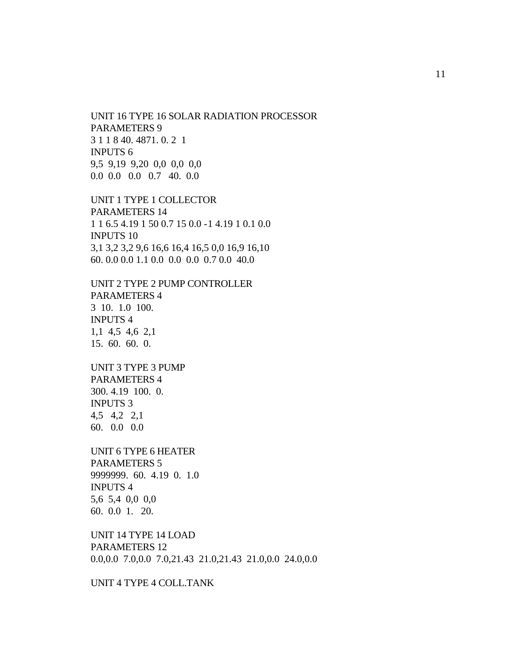UNIT 16 TYPE 16 SOLAR RADIATION PROCESSOR PARAMETERS 9 3 1 1 8 40. 4871. 0. 2 1 INPUTS 6 9,5 9,19 9,20 0,0 0,0 0,0 0.0 0.0 0.0 0.7 40. 0.0

UNIT 1 TYPE 1 COLLECTOR PARAMETERS 14 1 1 6.5 4.19 1 50 0.7 15 0.0 -1 4.19 1 0.1 0.0 INPUTS 10 3,1 3,2 3,2 9,6 16,6 16,4 16,5 0,0 16,9 16,10 60. 0.0 0.0 1.1 0.0 0.0 0.0 0.7 0.0 40.0

UNIT 2 TYPE 2 PUMP CONTROLLER PARAMETERS 4 3 10. 1.0 100. INPUTS 4 1,1 4,5 4,6 2,1 15. 60. 60. 0.

UNIT 3 TYPE 3 PUMP PARAMETERS 4 300. 4.19 100. 0. INPUTS 3 4,5 4,2 2,1 60. 0.0 0.0

UNIT 6 TYPE 6 HEATER PARAMETERS 5 9999999. 60. 4.19 0. 1.0 INPUTS 4 5,6 5,4 0,0 0,0 60. 0.0 1. 20.

UNIT 14 TYPE 14 LOAD PARAMETERS 12 0.0,0.0 7.0,0.0 7.0,21.43 21.0,21.43 21.0,0.0 24.0,0.0

UNIT 4 TYPE 4 COLL.TANK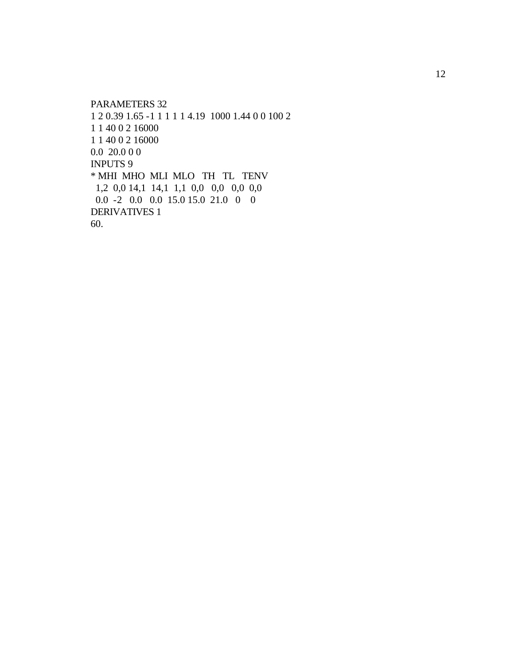```
PARAMETERS 32
1 2 0.39 1.65 -1 1 1 1 1 4.19 1000 1.44 0 0 100 2
1 1 40 0 2 16000
1 1 40 0 2 16000
0.0 20.0 0 0 
INPUTS 9
* MHI MHO MLI MLO TH TL TENV
 1,2 0,0 14,1 14,1 1,1 0,0 0,0 0,0 0,0
 0.0 -2 0.0 0.0 15.0 15.0 21.0 0 0
DERIVATIVES 1
60.
```